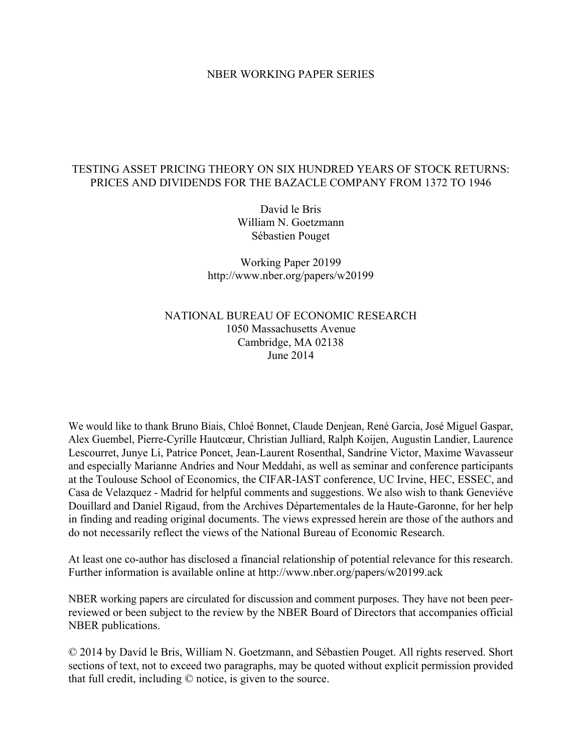### NBER WORKING PAPER SERIES

## TESTING ASSET PRICING THEORY ON SIX HUNDRED YEARS OF STOCK RETURNS: PRICES AND DIVIDENDS FOR THE BAZACLE COMPANY FROM 1372 TO 1946

David le Bris William N. Goetzmann Sébastien Pouget

Working Paper 20199 http://www.nber.org/papers/w20199

### NATIONAL BUREAU OF ECONOMIC RESEARCH 1050 Massachusetts Avenue Cambridge, MA 02138 June 2014

We would like to thank Bruno Biais, Chloé Bonnet, Claude Denjean, René Garcia, José Miguel Gaspar, Alex Guembel, Pierre-Cyrille Hautcœur, Christian Julliard, Ralph Koijen, Augustin Landier, Laurence Lescourret, Junye Li, Patrice Poncet, Jean-Laurent Rosenthal, Sandrine Victor, Maxime Wavasseur and especially Marianne Andries and Nour Meddahi, as well as seminar and conference participants at the Toulouse School of Economics, the CIFAR-IAST conference, UC Irvine, HEC, ESSEC, and Casa de Velazquez - Madrid for helpful comments and suggestions. We also wish to thank Geneviéve Douillard and Daniel Rigaud, from the Archives Départementales de la Haute-Garonne, for her help in finding and reading original documents. The views expressed herein are those of the authors and do not necessarily reflect the views of the National Bureau of Economic Research.

At least one co-author has disclosed a financial relationship of potential relevance for this research. Further information is available online at http://www.nber.org/papers/w20199.ack

NBER working papers are circulated for discussion and comment purposes. They have not been peerreviewed or been subject to the review by the NBER Board of Directors that accompanies official NBER publications.

© 2014 by David le Bris, William N. Goetzmann, and Sébastien Pouget. All rights reserved. Short sections of text, not to exceed two paragraphs, may be quoted without explicit permission provided that full credit, including © notice, is given to the source.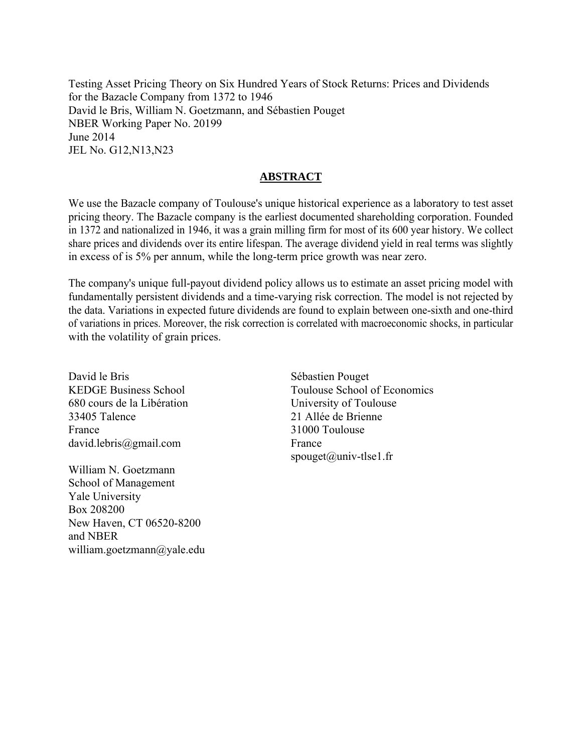Testing Asset Pricing Theory on Six Hundred Years of Stock Returns: Prices and Dividends for the Bazacle Company from 1372 to 1946 David le Bris, William N. Goetzmann, and Sébastien Pouget NBER Working Paper No. 20199 June 2014 JEL No. G12,N13,N23

## **ABSTRACT**

We use the Bazacle company of Toulouse's unique historical experience as a laboratory to test asset pricing theory. The Bazacle company is the earliest documented shareholding corporation. Founded in 1372 and nationalized in 1946, it was a grain milling firm for most of its 600 year history. We collect share prices and dividends over its entire lifespan. The average dividend yield in real terms was slightly in excess of is 5% per annum, while the long-term price growth was near zero.

The company's unique full-payout dividend policy allows us to estimate an asset pricing model with fundamentally persistent dividends and a time-varying risk correction. The model is not rejected by the data. Variations in expected future dividends are found to explain between one-sixth and one-third of variations in prices. Moreover, the risk correction is correlated with macroeconomic shocks, in particular with the volatility of grain prices.

David le Bris KEDGE Business School 680 cours de la Libération 33405 Talence France david.lebris@gmail.com

William N. Goetzmann School of Management Yale University Box 208200 New Haven, CT 06520-8200 and NBER william.goetzmann@yale.edu

Sébastien Pouget Toulouse School of Economics University of Toulouse 21 Allée de Brienne 31000 Toulouse France spouget@univ-tlse1.fr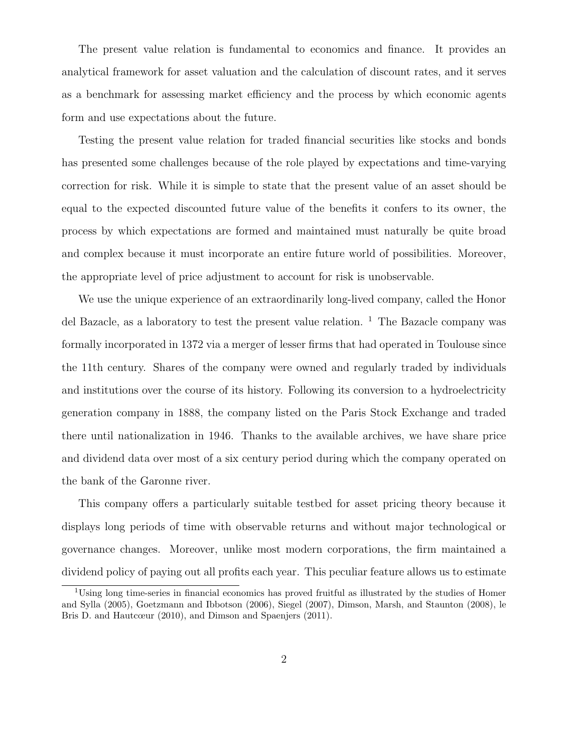The present value relation is fundamental to economics and finance. It provides an analytical framework for asset valuation and the calculation of discount rates, and it serves as a benchmark for assessing market efficiency and the process by which economic agents form and use expectations about the future.

Testing the present value relation for traded financial securities like stocks and bonds has presented some challenges because of the role played by expectations and time-varying correction for risk. While it is simple to state that the present value of an asset should be equal to the expected discounted future value of the benefits it confers to its owner, the process by which expectations are formed and maintained must naturally be quite broad and complex because it must incorporate an entire future world of possibilities. Moreover, the appropriate level of price adjustment to account for risk is unobservable.

We use the unique experience of an extraordinarily long-lived company, called the Honor del Bazacle, as a laboratory to test the present value relation.  $\frac{1}{1}$  The Bazacle company was formally incorporated in 1372 via a merger of lesser firms that had operated in Toulouse since the 11th century. Shares of the company were owned and regularly traded by individuals and institutions over the course of its history. Following its conversion to a hydroelectricity generation company in 1888, the company listed on the Paris Stock Exchange and traded there until nationalization in 1946. Thanks to the available archives, we have share price and dividend data over most of a six century period during which the company operated on the bank of the Garonne river.

This company offers a particularly suitable testbed for asset pricing theory because it displays long periods of time with observable returns and without major technological or governance changes. Moreover, unlike most modern corporations, the firm maintained a dividend policy of paying out all profits each year. This peculiar feature allows us to estimate

<sup>&</sup>lt;sup>1</sup>Using long time-series in financial economics has proved fruitful as illustrated by the studies of Homer and Sylla (2005), Goetzmann and Ibbotson (2006), Siegel (2007), Dimson, Marsh, and Staunton (2008), le Bris D. and Hautcœur (2010), and Dimson and Spaenjers (2011).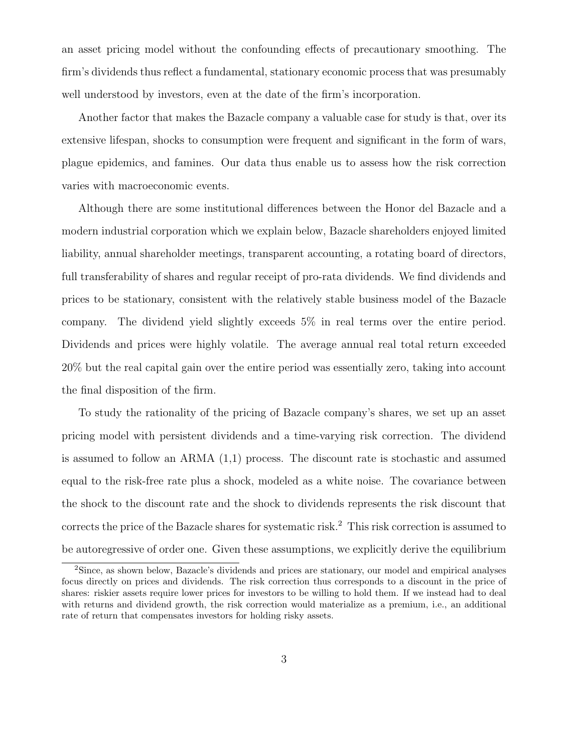an asset pricing model without the confounding effects of precautionary smoothing. The firm's dividends thus reflect a fundamental, stationary economic process that was presumably well understood by investors, even at the date of the firm's incorporation.

Another factor that makes the Bazacle company a valuable case for study is that, over its extensive lifespan, shocks to consumption were frequent and significant in the form of wars, plague epidemics, and famines. Our data thus enable us to assess how the risk correction varies with macroeconomic events.

Although there are some institutional differences between the Honor del Bazacle and a modern industrial corporation which we explain below, Bazacle shareholders enjoyed limited liability, annual shareholder meetings, transparent accounting, a rotating board of directors, full transferability of shares and regular receipt of pro-rata dividends. We find dividends and prices to be stationary, consistent with the relatively stable business model of the Bazacle company. The dividend yield slightly exceeds 5% in real terms over the entire period. Dividends and prices were highly volatile. The average annual real total return exceeded 20% but the real capital gain over the entire period was essentially zero, taking into account the final disposition of the firm.

To study the rationality of the pricing of Bazacle company's shares, we set up an asset pricing model with persistent dividends and a time-varying risk correction. The dividend is assumed to follow an ARMA (1,1) process. The discount rate is stochastic and assumed equal to the risk-free rate plus a shock, modeled as a white noise. The covariance between the shock to the discount rate and the shock to dividends represents the risk discount that corrects the price of the Bazacle shares for systematic risk.<sup>2</sup> This risk correction is assumed to be autoregressive of order one. Given these assumptions, we explicitly derive the equilibrium

<sup>2</sup>Since, as shown below, Bazacle's dividends and prices are stationary, our model and empirical analyses focus directly on prices and dividends. The risk correction thus corresponds to a discount in the price of shares: riskier assets require lower prices for investors to be willing to hold them. If we instead had to deal with returns and dividend growth, the risk correction would materialize as a premium, i.e., an additional rate of return that compensates investors for holding risky assets.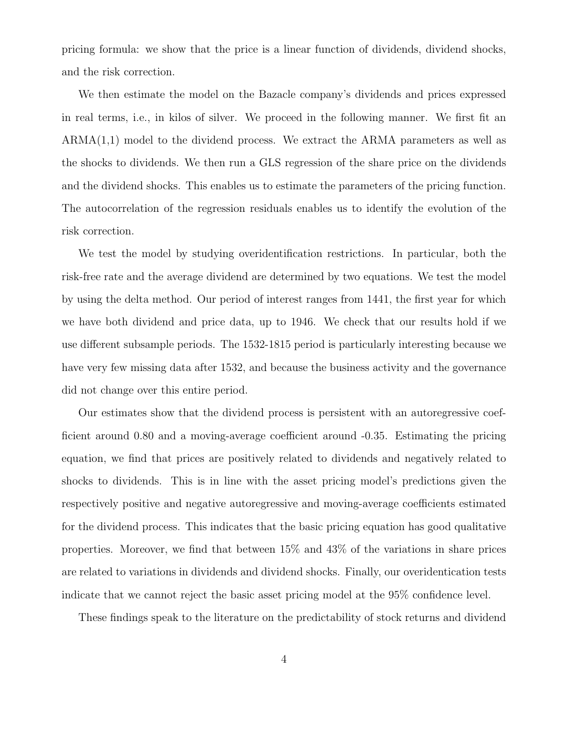pricing formula: we show that the price is a linear function of dividends, dividend shocks, and the risk correction.

We then estimate the model on the Bazacle company's dividends and prices expressed in real terms, i.e., in kilos of silver. We proceed in the following manner. We first fit an  $ARMA(1,1)$  model to the dividend process. We extract the ARMA parameters as well as the shocks to dividends. We then run a GLS regression of the share price on the dividends and the dividend shocks. This enables us to estimate the parameters of the pricing function. The autocorrelation of the regression residuals enables us to identify the evolution of the risk correction.

We test the model by studying overidentification restrictions. In particular, both the risk-free rate and the average dividend are determined by two equations. We test the model by using the delta method. Our period of interest ranges from 1441, the first year for which we have both dividend and price data, up to 1946. We check that our results hold if we use different subsample periods. The 1532-1815 period is particularly interesting because we have very few missing data after 1532, and because the business activity and the governance did not change over this entire period.

Our estimates show that the dividend process is persistent with an autoregressive coefficient around 0.80 and a moving-average coefficient around -0.35. Estimating the pricing equation, we find that prices are positively related to dividends and negatively related to shocks to dividends. This is in line with the asset pricing model's predictions given the respectively positive and negative autoregressive and moving-average coefficients estimated for the dividend process. This indicates that the basic pricing equation has good qualitative properties. Moreover, we find that between 15% and 43% of the variations in share prices are related to variations in dividends and dividend shocks. Finally, our overidentication tests indicate that we cannot reject the basic asset pricing model at the 95% confidence level.

These findings speak to the literature on the predictability of stock returns and dividend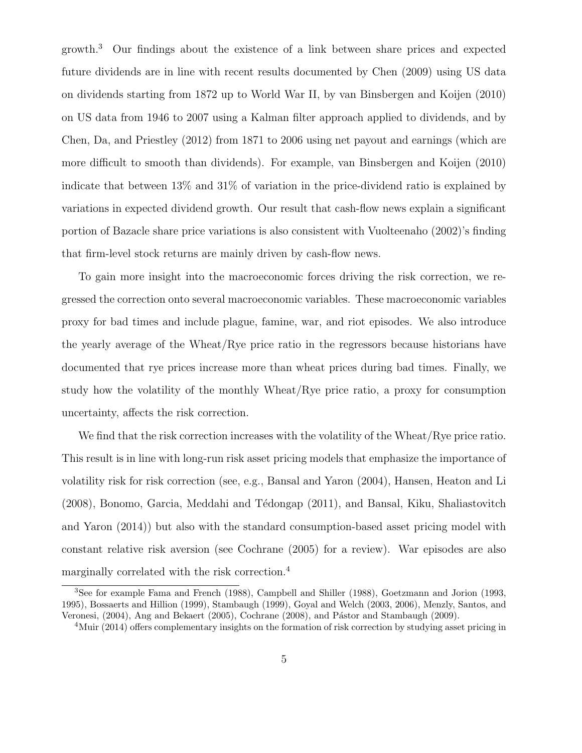growth.<sup>3</sup> Our findings about the existence of a link between share prices and expected future dividends are in line with recent results documented by Chen (2009) using US data on dividends starting from 1872 up to World War II, by van Binsbergen and Koijen (2010) on US data from 1946 to 2007 using a Kalman filter approach applied to dividends, and by Chen, Da, and Priestley (2012) from 1871 to 2006 using net payout and earnings (which are more difficult to smooth than dividends). For example, van Binsbergen and Koijen (2010) indicate that between 13% and 31% of variation in the price-dividend ratio is explained by variations in expected dividend growth. Our result that cash-flow news explain a significant portion of Bazacle share price variations is also consistent with Vuolteenaho (2002)'s finding that firm-level stock returns are mainly driven by cash-flow news.

To gain more insight into the macroeconomic forces driving the risk correction, we regressed the correction onto several macroeconomic variables. These macroeconomic variables proxy for bad times and include plague, famine, war, and riot episodes. We also introduce the yearly average of the Wheat/Rye price ratio in the regressors because historians have documented that rye prices increase more than wheat prices during bad times. Finally, we study how the volatility of the monthly Wheat/Rye price ratio, a proxy for consumption uncertainty, affects the risk correction.

We find that the risk correction increases with the volatility of the Wheat/Rye price ratio. This result is in line with long-run risk asset pricing models that emphasize the importance of volatility risk for risk correction (see, e.g., Bansal and Yaron (2004), Hansen, Heaton and Li  $(2008)$ , Bonomo, Garcia, Meddahi and Tédongap  $(2011)$ , and Bansal, Kiku, Shaliastovitch and Yaron (2014)) but also with the standard consumption-based asset pricing model with constant relative risk aversion (see Cochrane (2005) for a review). War episodes are also marginally correlated with the risk correction.<sup>4</sup>

<sup>3</sup>See for example Fama and French (1988), Campbell and Shiller (1988), Goetzmann and Jorion (1993, 1995), Bossaerts and Hillion (1999), Stambaugh (1999), Goyal and Welch (2003, 2006), Menzly, Santos, and Veronesi, (2004), Ang and Bekaert (2005), Cochrane (2008), and Pástor and Stambaugh (2009).

<sup>4</sup>Muir (2014) offers complementary insights on the formation of risk correction by studying asset pricing in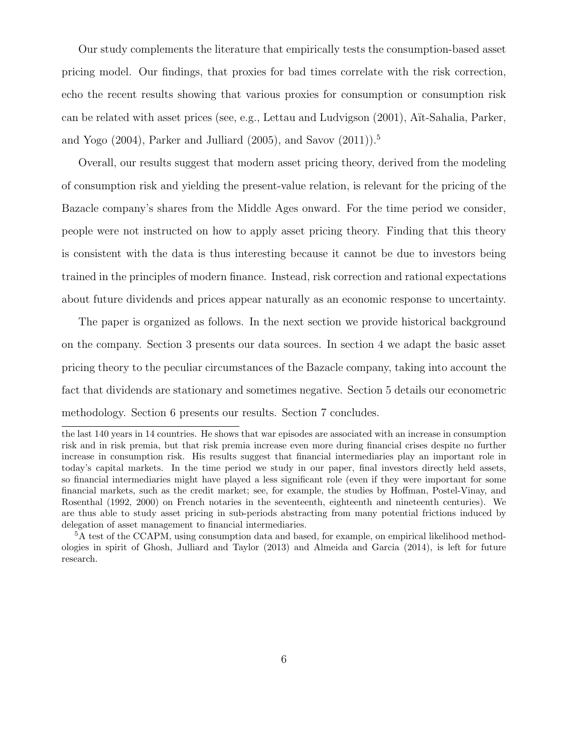Our study complements the literature that empirically tests the consumption-based asset pricing model. Our findings, that proxies for bad times correlate with the risk correction, echo the recent results showing that various proxies for consumption or consumption risk can be related with asset prices (see, e.g., Lettau and Ludvigson (2001), A¨ıt-Sahalia, Parker, and Yogo (2004), Parker and Julliard (2005), and Savov (2011)).<sup>5</sup>

Overall, our results suggest that modern asset pricing theory, derived from the modeling of consumption risk and yielding the present-value relation, is relevant for the pricing of the Bazacle company's shares from the Middle Ages onward. For the time period we consider, people were not instructed on how to apply asset pricing theory. Finding that this theory is consistent with the data is thus interesting because it cannot be due to investors being trained in the principles of modern finance. Instead, risk correction and rational expectations about future dividends and prices appear naturally as an economic response to uncertainty.

The paper is organized as follows. In the next section we provide historical background on the company. Section 3 presents our data sources. In section 4 we adapt the basic asset pricing theory to the peculiar circumstances of the Bazacle company, taking into account the fact that dividends are stationary and sometimes negative. Section 5 details our econometric methodology. Section 6 presents our results. Section 7 concludes.

the last 140 years in 14 countries. He shows that war episodes are associated with an increase in consumption risk and in risk premia, but that risk premia increase even more during financial crises despite no further increase in consumption risk. His results suggest that financial intermediaries play an important role in today's capital markets. In the time period we study in our paper, final investors directly held assets, so financial intermediaries might have played a less significant role (even if they were important for some financial markets, such as the credit market; see, for example, the studies by Hoffman, Postel-Vinay, and Rosenthal (1992, 2000) on French notaries in the seventeenth, eighteenth and nineteenth centuries). We are thus able to study asset pricing in sub-periods abstracting from many potential frictions induced by delegation of asset management to financial intermediaries.

<sup>5</sup>A test of the CCAPM, using consumption data and based, for example, on empirical likelihood methodologies in spirit of Ghosh, Julliard and Taylor (2013) and Almeida and Garcia (2014), is left for future research.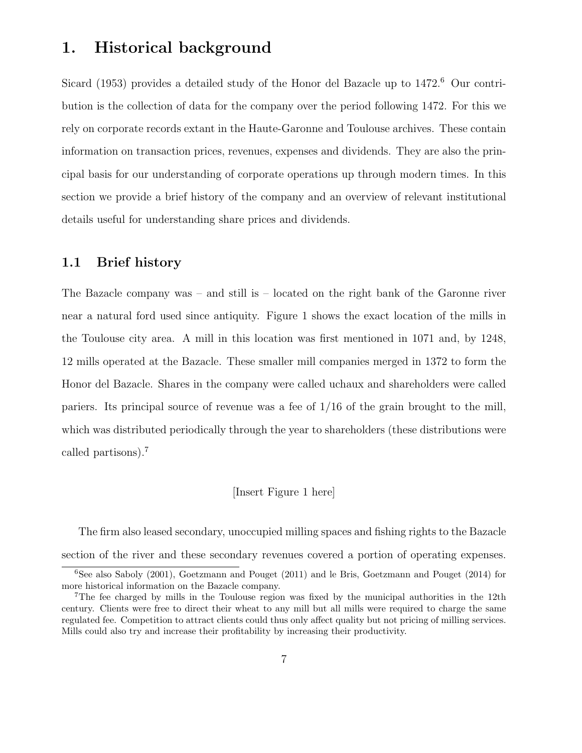# 1. Historical background

Sicard (1953) provides a detailed study of the Honor del Bazacle up to 1472.<sup>6</sup> Our contribution is the collection of data for the company over the period following 1472. For this we rely on corporate records extant in the Haute-Garonne and Toulouse archives. These contain information on transaction prices, revenues, expenses and dividends. They are also the principal basis for our understanding of corporate operations up through modern times. In this section we provide a brief history of the company and an overview of relevant institutional details useful for understanding share prices and dividends.

### 1.1 Brief history

The Bazacle company was – and still is – located on the right bank of the Garonne river near a natural ford used since antiquity. Figure 1 shows the exact location of the mills in the Toulouse city area. A mill in this location was first mentioned in 1071 and, by 1248, 12 mills operated at the Bazacle. These smaller mill companies merged in 1372 to form the Honor del Bazacle. Shares in the company were called uchaux and shareholders were called pariers. Its principal source of revenue was a fee of 1/16 of the grain brought to the mill, which was distributed periodically through the year to shareholders (these distributions were called partisons).<sup>7</sup>

### [Insert Figure 1 here]

The firm also leased secondary, unoccupied milling spaces and fishing rights to the Bazacle section of the river and these secondary revenues covered a portion of operating expenses.

<sup>6</sup>See also Saboly (2001), Goetzmann and Pouget (2011) and le Bris, Goetzmann and Pouget (2014) for more historical information on the Bazacle company.

<sup>7</sup>The fee charged by mills in the Toulouse region was fixed by the municipal authorities in the 12th century. Clients were free to direct their wheat to any mill but all mills were required to charge the same regulated fee. Competition to attract clients could thus only affect quality but not pricing of milling services. Mills could also try and increase their profitability by increasing their productivity.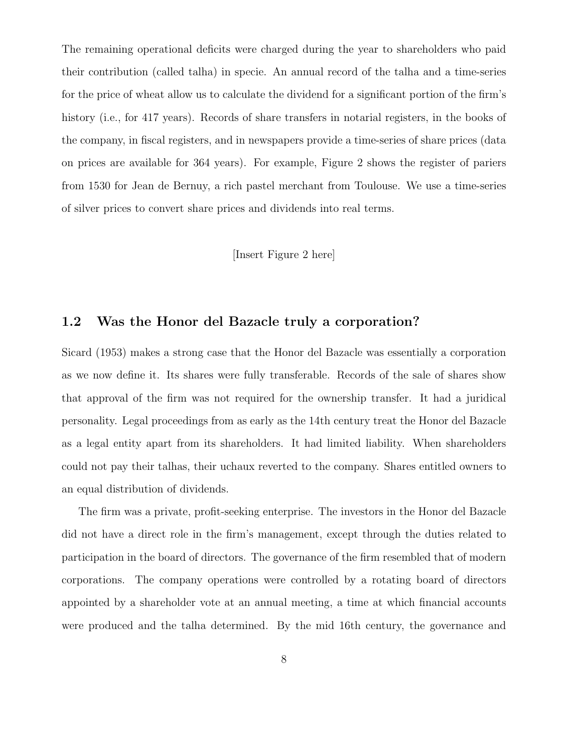The remaining operational deficits were charged during the year to shareholders who paid their contribution (called talha) in specie. An annual record of the talha and a time-series for the price of wheat allow us to calculate the dividend for a significant portion of the firm's history (i.e., for 417 years). Records of share transfers in notarial registers, in the books of the company, in fiscal registers, and in newspapers provide a time-series of share prices (data on prices are available for 364 years). For example, Figure 2 shows the register of pariers from 1530 for Jean de Bernuy, a rich pastel merchant from Toulouse. We use a time-series of silver prices to convert share prices and dividends into real terms.

### [Insert Figure 2 here]

### 1.2 Was the Honor del Bazacle truly a corporation?

Sicard (1953) makes a strong case that the Honor del Bazacle was essentially a corporation as we now define it. Its shares were fully transferable. Records of the sale of shares show that approval of the firm was not required for the ownership transfer. It had a juridical personality. Legal proceedings from as early as the 14th century treat the Honor del Bazacle as a legal entity apart from its shareholders. It had limited liability. When shareholders could not pay their talhas, their uchaux reverted to the company. Shares entitled owners to an equal distribution of dividends.

The firm was a private, profit-seeking enterprise. The investors in the Honor del Bazacle did not have a direct role in the firm's management, except through the duties related to participation in the board of directors. The governance of the firm resembled that of modern corporations. The company operations were controlled by a rotating board of directors appointed by a shareholder vote at an annual meeting, a time at which financial accounts were produced and the talha determined. By the mid 16th century, the governance and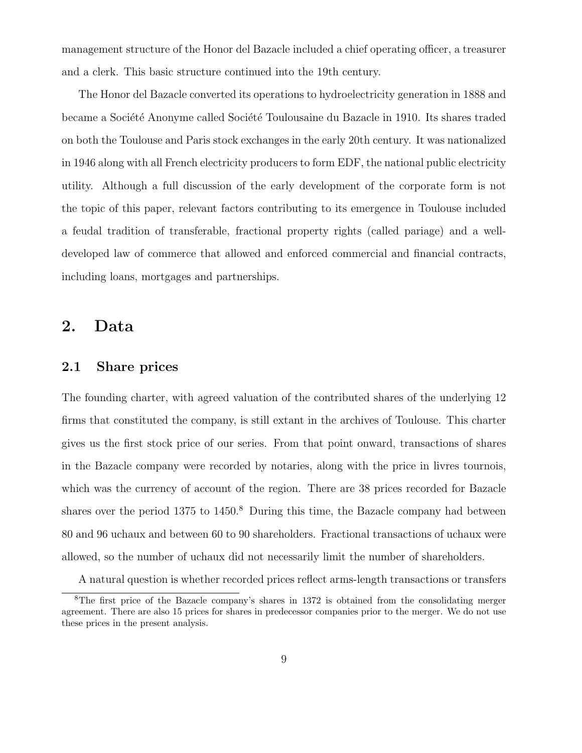management structure of the Honor del Bazacle included a chief operating officer, a treasurer and a clerk. This basic structure continued into the 19th century.

The Honor del Bazacle converted its operations to hydroelectricity generation in 1888 and became a Société Anonyme called Société Toulousaine du Bazacle in 1910. Its shares traded on both the Toulouse and Paris stock exchanges in the early 20th century. It was nationalized in 1946 along with all French electricity producers to form EDF, the national public electricity utility. Although a full discussion of the early development of the corporate form is not the topic of this paper, relevant factors contributing to its emergence in Toulouse included a feudal tradition of transferable, fractional property rights (called pariage) and a welldeveloped law of commerce that allowed and enforced commercial and financial contracts, including loans, mortgages and partnerships.

# 2. Data

### 2.1 Share prices

The founding charter, with agreed valuation of the contributed shares of the underlying 12 firms that constituted the company, is still extant in the archives of Toulouse. This charter gives us the first stock price of our series. From that point onward, transactions of shares in the Bazacle company were recorded by notaries, along with the price in livres tournois, which was the currency of account of the region. There are 38 prices recorded for Bazacle shares over the period  $1375$  to  $1450$ .<sup>8</sup> During this time, the Bazacle company had between 80 and 96 uchaux and between 60 to 90 shareholders. Fractional transactions of uchaux were allowed, so the number of uchaux did not necessarily limit the number of shareholders.

A natural question is whether recorded prices reflect arms-length transactions or transfers

<sup>8</sup>The first price of the Bazacle company's shares in 1372 is obtained from the consolidating merger agreement. There are also 15 prices for shares in predecessor companies prior to the merger. We do not use these prices in the present analysis.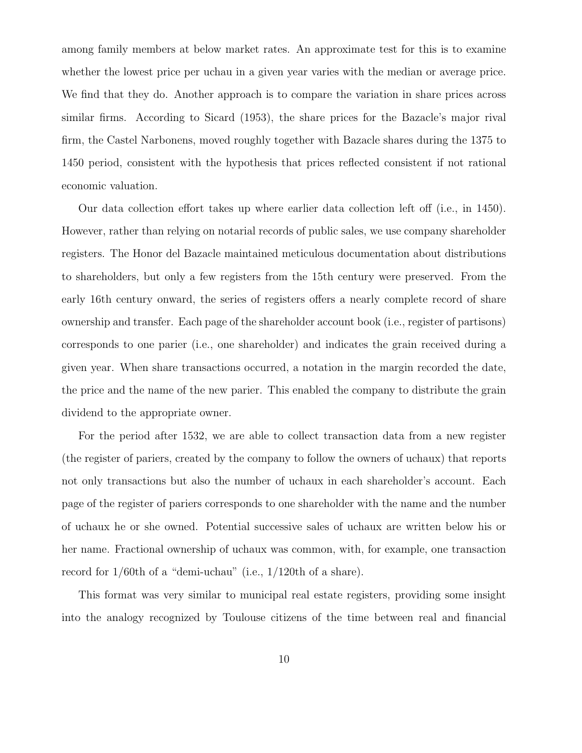among family members at below market rates. An approximate test for this is to examine whether the lowest price per uchau in a given year varies with the median or average price. We find that they do. Another approach is to compare the variation in share prices across similar firms. According to Sicard (1953), the share prices for the Bazacle's major rival firm, the Castel Narbonens, moved roughly together with Bazacle shares during the 1375 to 1450 period, consistent with the hypothesis that prices reflected consistent if not rational economic valuation.

Our data collection effort takes up where earlier data collection left off (i.e., in 1450). However, rather than relying on notarial records of public sales, we use company shareholder registers. The Honor del Bazacle maintained meticulous documentation about distributions to shareholders, but only a few registers from the 15th century were preserved. From the early 16th century onward, the series of registers offers a nearly complete record of share ownership and transfer. Each page of the shareholder account book (i.e., register of partisons) corresponds to one parier (i.e., one shareholder) and indicates the grain received during a given year. When share transactions occurred, a notation in the margin recorded the date, the price and the name of the new parier. This enabled the company to distribute the grain dividend to the appropriate owner.

For the period after 1532, we are able to collect transaction data from a new register (the register of pariers, created by the company to follow the owners of uchaux) that reports not only transactions but also the number of uchaux in each shareholder's account. Each page of the register of pariers corresponds to one shareholder with the name and the number of uchaux he or she owned. Potential successive sales of uchaux are written below his or her name. Fractional ownership of uchaux was common, with, for example, one transaction record for 1/60th of a "demi-uchau" (i.e., 1/120th of a share).

This format was very similar to municipal real estate registers, providing some insight into the analogy recognized by Toulouse citizens of the time between real and financial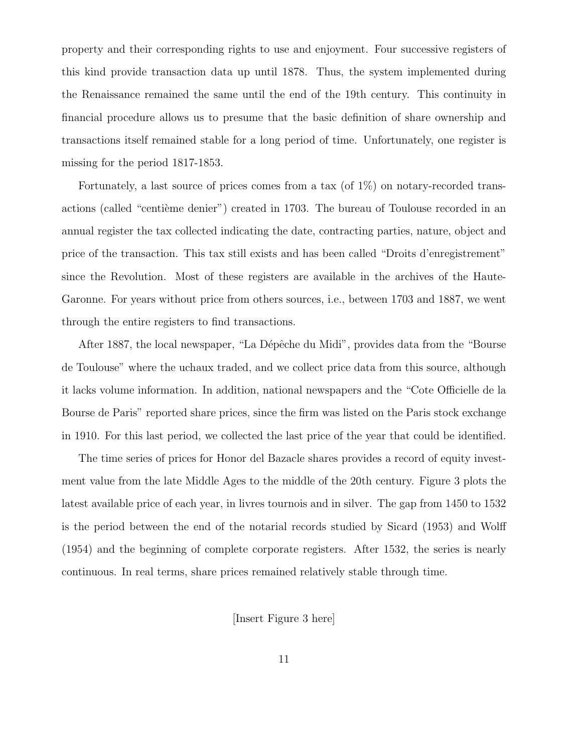property and their corresponding rights to use and enjoyment. Four successive registers of this kind provide transaction data up until 1878. Thus, the system implemented during the Renaissance remained the same until the end of the 19th century. This continuity in financial procedure allows us to presume that the basic definition of share ownership and transactions itself remained stable for a long period of time. Unfortunately, one register is missing for the period 1817-1853.

Fortunately, a last source of prices comes from a tax (of  $1\%$ ) on notary-recorded transactions (called "centième denier") created in 1703. The bureau of Toulouse recorded in an annual register the tax collected indicating the date, contracting parties, nature, object and price of the transaction. This tax still exists and has been called "Droits d'enregistrement" since the Revolution. Most of these registers are available in the archives of the Haute-Garonne. For years without price from others sources, i.e., between 1703 and 1887, we went through the entire registers to find transactions.

After 1887, the local newspaper, "La Dépêche du Midi", provides data from the "Bourse de Toulouse" where the uchaux traded, and we collect price data from this source, although it lacks volume information. In addition, national newspapers and the "Cote Officielle de la Bourse de Paris" reported share prices, since the firm was listed on the Paris stock exchange in 1910. For this last period, we collected the last price of the year that could be identified.

The time series of prices for Honor del Bazacle shares provides a record of equity investment value from the late Middle Ages to the middle of the 20th century. Figure 3 plots the latest available price of each year, in livres tournois and in silver. The gap from 1450 to 1532 is the period between the end of the notarial records studied by Sicard (1953) and Wolff (1954) and the beginning of complete corporate registers. After 1532, the series is nearly continuous. In real terms, share prices remained relatively stable through time.

[Insert Figure 3 here]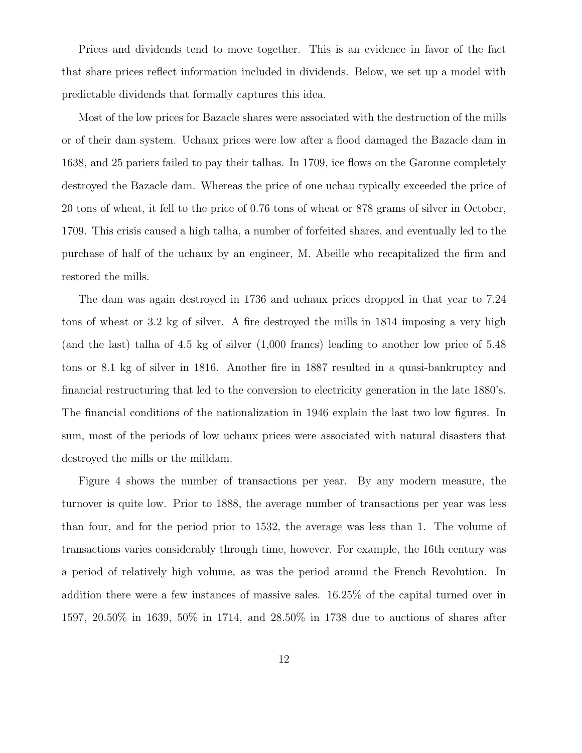Prices and dividends tend to move together. This is an evidence in favor of the fact that share prices reflect information included in dividends. Below, we set up a model with predictable dividends that formally captures this idea.

Most of the low prices for Bazacle shares were associated with the destruction of the mills or of their dam system. Uchaux prices were low after a flood damaged the Bazacle dam in 1638, and 25 pariers failed to pay their talhas. In 1709, ice flows on the Garonne completely destroyed the Bazacle dam. Whereas the price of one uchau typically exceeded the price of 20 tons of wheat, it fell to the price of 0.76 tons of wheat or 878 grams of silver in October, 1709. This crisis caused a high talha, a number of forfeited shares, and eventually led to the purchase of half of the uchaux by an engineer, M. Abeille who recapitalized the firm and restored the mills.

The dam was again destroyed in 1736 and uchaux prices dropped in that year to 7.24 tons of wheat or 3.2 kg of silver. A fire destroyed the mills in 1814 imposing a very high (and the last) talha of 4.5 kg of silver (1,000 francs) leading to another low price of 5.48 tons or 8.1 kg of silver in 1816. Another fire in 1887 resulted in a quasi-bankruptcy and financial restructuring that led to the conversion to electricity generation in the late 1880's. The financial conditions of the nationalization in 1946 explain the last two low figures. In sum, most of the periods of low uchaux prices were associated with natural disasters that destroyed the mills or the milldam.

Figure 4 shows the number of transactions per year. By any modern measure, the turnover is quite low. Prior to 1888, the average number of transactions per year was less than four, and for the period prior to 1532, the average was less than 1. The volume of transactions varies considerably through time, however. For example, the 16th century was a period of relatively high volume, as was the period around the French Revolution. In addition there were a few instances of massive sales. 16.25% of the capital turned over in 1597, 20.50% in 1639, 50% in 1714, and 28.50% in 1738 due to auctions of shares after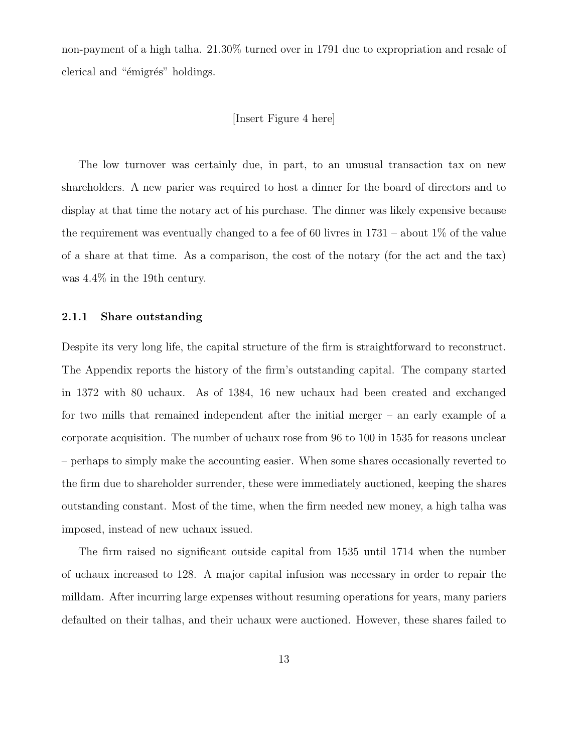non-payment of a high talha. 21.30% turned over in 1791 due to expropriation and resale of clerical and "emigres" holdings.

#### [Insert Figure 4 here]

The low turnover was certainly due, in part, to an unusual transaction tax on new shareholders. A new parier was required to host a dinner for the board of directors and to display at that time the notary act of his purchase. The dinner was likely expensive because the requirement was eventually changed to a fee of 60 livres in  $1731$  – about  $1\%$  of the value of a share at that time. As a comparison, the cost of the notary (for the act and the tax) was 4.4% in the 19th century.

#### 2.1.1 Share outstanding

Despite its very long life, the capital structure of the firm is straightforward to reconstruct. The Appendix reports the history of the firm's outstanding capital. The company started in 1372 with 80 uchaux. As of 1384, 16 new uchaux had been created and exchanged for two mills that remained independent after the initial merger – an early example of a corporate acquisition. The number of uchaux rose from 96 to 100 in 1535 for reasons unclear – perhaps to simply make the accounting easier. When some shares occasionally reverted to the firm due to shareholder surrender, these were immediately auctioned, keeping the shares outstanding constant. Most of the time, when the firm needed new money, a high talha was imposed, instead of new uchaux issued.

The firm raised no significant outside capital from 1535 until 1714 when the number of uchaux increased to 128. A major capital infusion was necessary in order to repair the milldam. After incurring large expenses without resuming operations for years, many pariers defaulted on their talhas, and their uchaux were auctioned. However, these shares failed to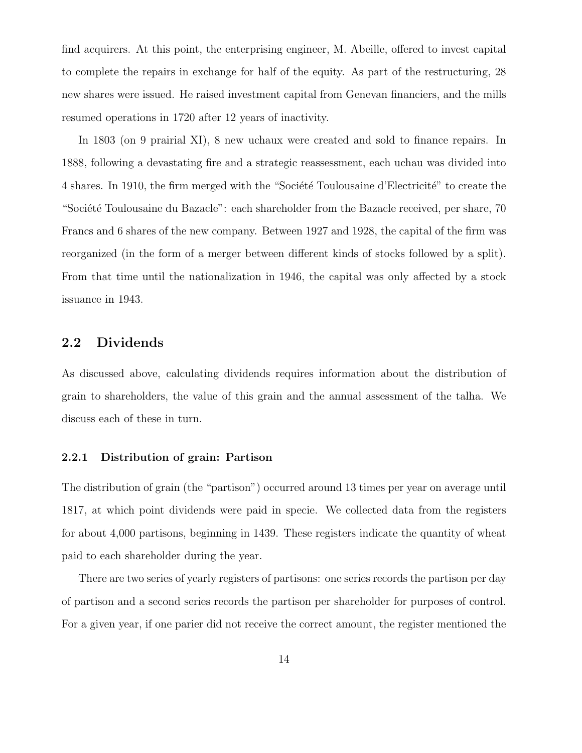find acquirers. At this point, the enterprising engineer, M. Abeille, offered to invest capital to complete the repairs in exchange for half of the equity. As part of the restructuring, 28 new shares were issued. He raised investment capital from Genevan financiers, and the mills resumed operations in 1720 after 12 years of inactivity.

In 1803 (on 9 prairial XI), 8 new uchaux were created and sold to finance repairs. In 1888, following a devastating fire and a strategic reassessment, each uchau was divided into 4 shares. In 1910, the firm merged with the "Société Toulousaine d'Electricité" to create the "Société Toulousaine du Bazacle": each shareholder from the Bazacle received, per share, 70 Francs and 6 shares of the new company. Between 1927 and 1928, the capital of the firm was reorganized (in the form of a merger between different kinds of stocks followed by a split). From that time until the nationalization in 1946, the capital was only affected by a stock issuance in 1943.

### 2.2 Dividends

As discussed above, calculating dividends requires information about the distribution of grain to shareholders, the value of this grain and the annual assessment of the talha. We discuss each of these in turn.

#### 2.2.1 Distribution of grain: Partison

The distribution of grain (the "partison") occurred around 13 times per year on average until 1817, at which point dividends were paid in specie. We collected data from the registers for about 4,000 partisons, beginning in 1439. These registers indicate the quantity of wheat paid to each shareholder during the year.

There are two series of yearly registers of partisons: one series records the partison per day of partison and a second series records the partison per shareholder for purposes of control. For a given year, if one parier did not receive the correct amount, the register mentioned the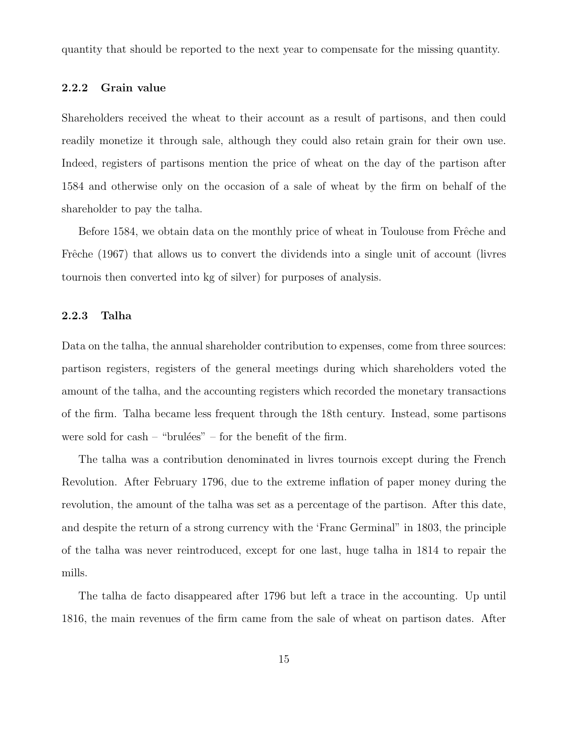quantity that should be reported to the next year to compensate for the missing quantity.

#### 2.2.2 Grain value

Shareholders received the wheat to their account as a result of partisons, and then could readily monetize it through sale, although they could also retain grain for their own use. Indeed, registers of partisons mention the price of wheat on the day of the partison after 1584 and otherwise only on the occasion of a sale of wheat by the firm on behalf of the shareholder to pay the talha.

Before 1584, we obtain data on the monthly price of wheat in Toulouse from Frêche and Frêche (1967) that allows us to convert the dividends into a single unit of account (livres tournois then converted into kg of silver) for purposes of analysis.

### 2.2.3 Talha

Data on the talha, the annual shareholder contribution to expenses, come from three sources: partison registers, registers of the general meetings during which shareholders voted the amount of the talha, and the accounting registers which recorded the monetary transactions of the firm. Talha became less frequent through the 18th century. Instead, some partisons were sold for  $cash - "brulées" - for the benefit of the firm.$ 

The talha was a contribution denominated in livres tournois except during the French Revolution. After February 1796, due to the extreme inflation of paper money during the revolution, the amount of the talha was set as a percentage of the partison. After this date, and despite the return of a strong currency with the 'Franc Germinal" in 1803, the principle of the talha was never reintroduced, except for one last, huge talha in 1814 to repair the mills.

The talha de facto disappeared after 1796 but left a trace in the accounting. Up until 1816, the main revenues of the firm came from the sale of wheat on partison dates. After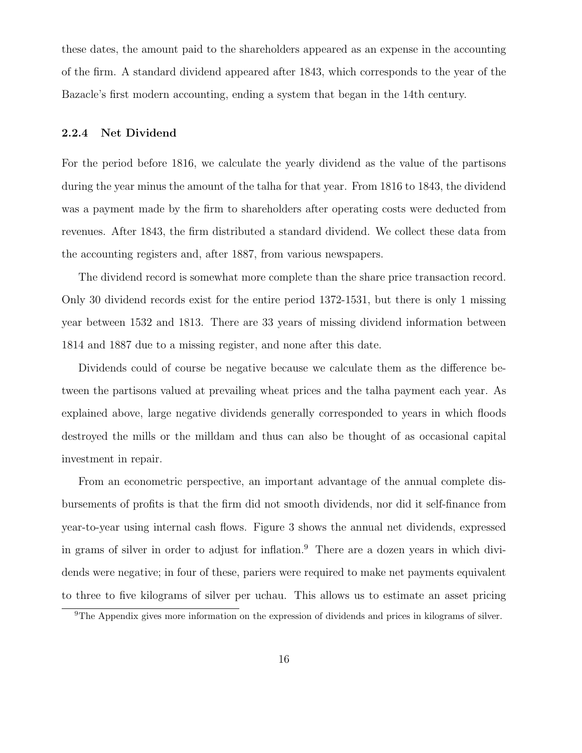these dates, the amount paid to the shareholders appeared as an expense in the accounting of the firm. A standard dividend appeared after 1843, which corresponds to the year of the Bazacle's first modern accounting, ending a system that began in the 14th century.

#### 2.2.4 Net Dividend

For the period before 1816, we calculate the yearly dividend as the value of the partisons during the year minus the amount of the talha for that year. From 1816 to 1843, the dividend was a payment made by the firm to shareholders after operating costs were deducted from revenues. After 1843, the firm distributed a standard dividend. We collect these data from the accounting registers and, after 1887, from various newspapers.

The dividend record is somewhat more complete than the share price transaction record. Only 30 dividend records exist for the entire period 1372-1531, but there is only 1 missing year between 1532 and 1813. There are 33 years of missing dividend information between 1814 and 1887 due to a missing register, and none after this date.

Dividends could of course be negative because we calculate them as the difference between the partisons valued at prevailing wheat prices and the talha payment each year. As explained above, large negative dividends generally corresponded to years in which floods destroyed the mills or the milldam and thus can also be thought of as occasional capital investment in repair.

From an econometric perspective, an important advantage of the annual complete disbursements of profits is that the firm did not smooth dividends, nor did it self-finance from year-to-year using internal cash flows. Figure 3 shows the annual net dividends, expressed in grams of silver in order to adjust for inflation.<sup>9</sup> There are a dozen years in which dividends were negative; in four of these, pariers were required to make net payments equivalent to three to five kilograms of silver per uchau. This allows us to estimate an asset pricing

<sup>&</sup>lt;sup>9</sup>The Appendix gives more information on the expression of dividends and prices in kilograms of silver.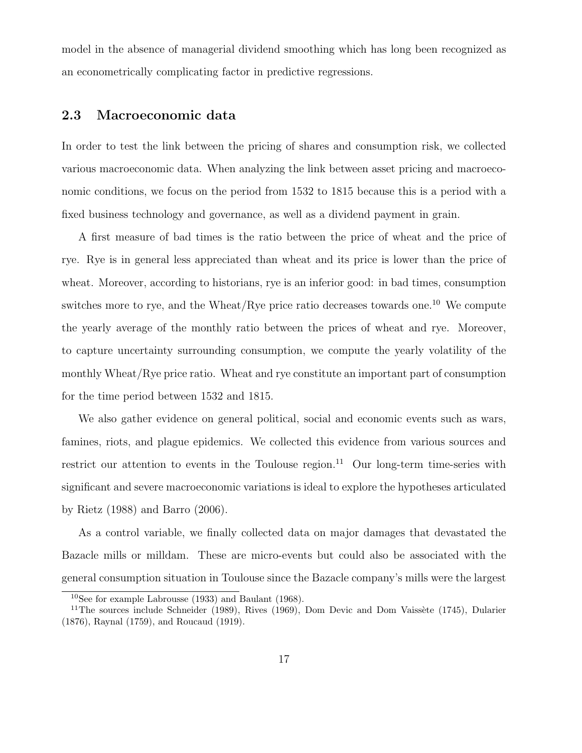model in the absence of managerial dividend smoothing which has long been recognized as an econometrically complicating factor in predictive regressions.

# 2.3 Macroeconomic data

In order to test the link between the pricing of shares and consumption risk, we collected various macroeconomic data. When analyzing the link between asset pricing and macroeconomic conditions, we focus on the period from 1532 to 1815 because this is a period with a fixed business technology and governance, as well as a dividend payment in grain.

A first measure of bad times is the ratio between the price of wheat and the price of rye. Rye is in general less appreciated than wheat and its price is lower than the price of wheat. Moreover, according to historians, rye is an inferior good: in bad times, consumption switches more to rye, and the Wheat/Rye price ratio decreases towards one.<sup>10</sup> We compute the yearly average of the monthly ratio between the prices of wheat and rye. Moreover, to capture uncertainty surrounding consumption, we compute the yearly volatility of the monthly Wheat/Rye price ratio. Wheat and rye constitute an important part of consumption for the time period between 1532 and 1815.

We also gather evidence on general political, social and economic events such as wars, famines, riots, and plague epidemics. We collected this evidence from various sources and restrict our attention to events in the Toulouse region.<sup>11</sup> Our long-term time-series with significant and severe macroeconomic variations is ideal to explore the hypotheses articulated by Rietz (1988) and Barro (2006).

As a control variable, we finally collected data on major damages that devastated the Bazacle mills or milldam. These are micro-events but could also be associated with the general consumption situation in Toulouse since the Bazacle company's mills were the largest

 $10$ See for example Labrousse (1933) and Baulant (1968).

<sup>&</sup>lt;sup>11</sup>The sources include Schneider (1989), Rives (1969), Dom Devic and Dom Vaissète (1745), Dularier (1876), Raynal (1759), and Roucaud (1919).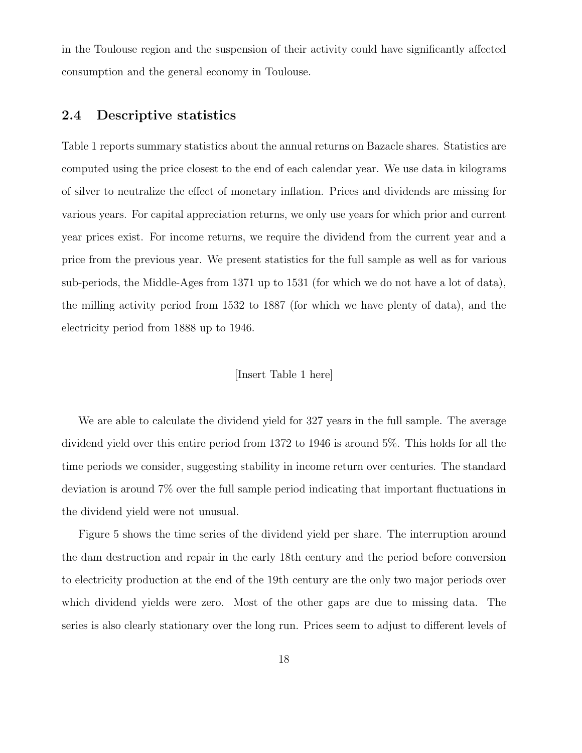in the Toulouse region and the suspension of their activity could have significantly affected consumption and the general economy in Toulouse.

## 2.4 Descriptive statistics

Table 1 reports summary statistics about the annual returns on Bazacle shares. Statistics are computed using the price closest to the end of each calendar year. We use data in kilograms of silver to neutralize the effect of monetary inflation. Prices and dividends are missing for various years. For capital appreciation returns, we only use years for which prior and current year prices exist. For income returns, we require the dividend from the current year and a price from the previous year. We present statistics for the full sample as well as for various sub-periods, the Middle-Ages from 1371 up to 1531 (for which we do not have a lot of data), the milling activity period from 1532 to 1887 (for which we have plenty of data), and the electricity period from 1888 up to 1946.

#### [Insert Table 1 here]

We are able to calculate the dividend yield for 327 years in the full sample. The average dividend yield over this entire period from 1372 to 1946 is around 5%. This holds for all the time periods we consider, suggesting stability in income return over centuries. The standard deviation is around 7% over the full sample period indicating that important fluctuations in the dividend yield were not unusual.

Figure 5 shows the time series of the dividend yield per share. The interruption around the dam destruction and repair in the early 18th century and the period before conversion to electricity production at the end of the 19th century are the only two major periods over which dividend yields were zero. Most of the other gaps are due to missing data. The series is also clearly stationary over the long run. Prices seem to adjust to different levels of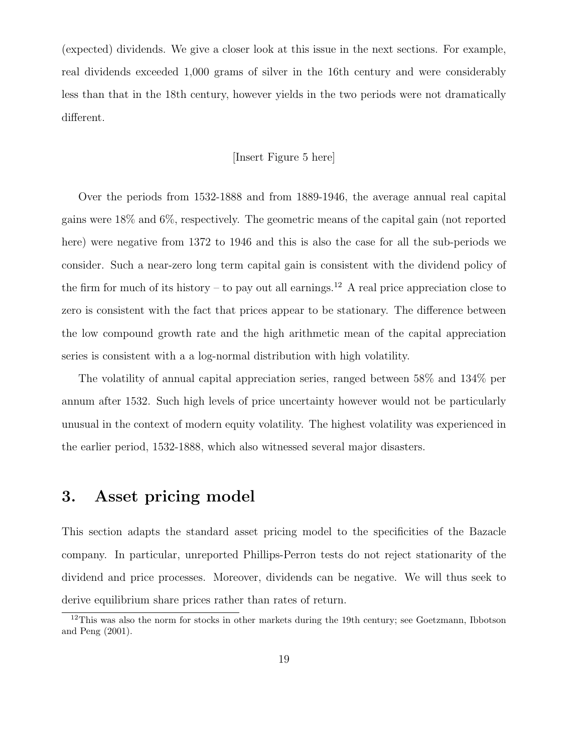(expected) dividends. We give a closer look at this issue in the next sections. For example, real dividends exceeded 1,000 grams of silver in the 16th century and were considerably less than that in the 18th century, however yields in the two periods were not dramatically different.

### [Insert Figure 5 here]

Over the periods from 1532-1888 and from 1889-1946, the average annual real capital gains were 18% and 6%, respectively. The geometric means of the capital gain (not reported here) were negative from 1372 to 1946 and this is also the case for all the sub-periods we consider. Such a near-zero long term capital gain is consistent with the dividend policy of the firm for much of its history – to pay out all earnings.<sup>12</sup> A real price appreciation close to zero is consistent with the fact that prices appear to be stationary. The difference between the low compound growth rate and the high arithmetic mean of the capital appreciation series is consistent with a a log-normal distribution with high volatility.

The volatility of annual capital appreciation series, ranged between 58% and 134% per annum after 1532. Such high levels of price uncertainty however would not be particularly unusual in the context of modern equity volatility. The highest volatility was experienced in the earlier period, 1532-1888, which also witnessed several major disasters.

# 3. Asset pricing model

This section adapts the standard asset pricing model to the specificities of the Bazacle company. In particular, unreported Phillips-Perron tests do not reject stationarity of the dividend and price processes. Moreover, dividends can be negative. We will thus seek to derive equilibrium share prices rather than rates of return.

<sup>&</sup>lt;sup>12</sup>This was also the norm for stocks in other markets during the 19th century; see Goetzmann, Ibbotson and Peng (2001).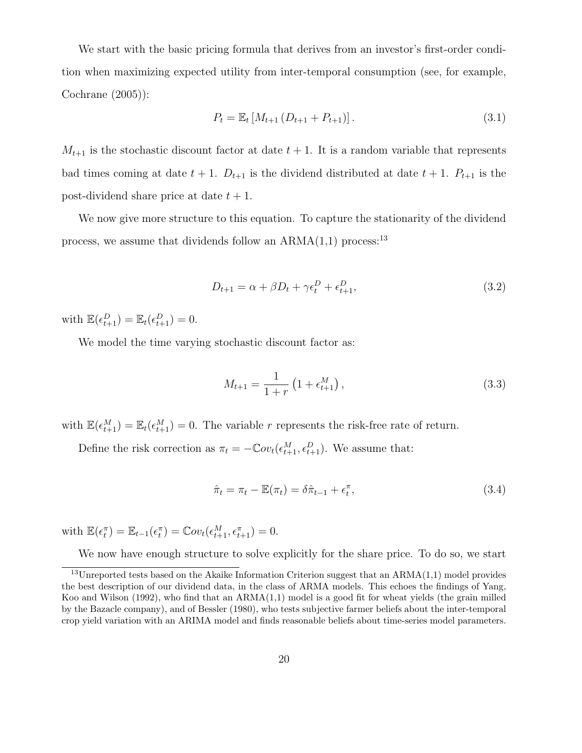We start with the basic pricing formula that derives from an investor's first-order condition when maximizing expected utility from inter-temporal consumption (see, for example, Cochrane (2005)):

$$
P_t = \mathbb{E}_t \left[ M_{t+1} \left( D_{t+1} + P_{t+1} \right) \right]. \tag{3.1}
$$

 $M_{t+1}$  is the stochastic discount factor at date  $t+1$ . It is a random variable that represents bad times coming at date  $t + 1$ .  $D_{t+1}$  is the dividend distributed at date  $t + 1$ .  $P_{t+1}$  is the post-dividend share price at date  $t + 1$ .

We now give more structure to this equation. To capture the stationarity of the dividend process, we assume that dividends follow an  $ARMA(1,1)$  process:<sup>13</sup>

$$
D_{t+1} = \alpha + \beta D_t + \gamma \epsilon_t^D + \epsilon_{t+1}^D,
$$
\n(3.2)

with  $\mathbb{E}(\epsilon_{t+1}^D) = \mathbb{E}_t(\epsilon_{t+1}^D) = 0.$ 

We model the time varying stochastic discount factor as:

$$
M_{t+1} = \frac{1}{1+r} \left( 1 + \epsilon_{t+1}^{M} \right), \tag{3.3}
$$

with  $\mathbb{E}(\epsilon_{t+1}^M) = \mathbb{E}_t(\epsilon_{t+1}^M) = 0$ . The variable r represents the risk-free rate of return.

Define the risk correction as  $\pi_t = -\mathbb{C}ov_t(\epsilon_{t+1}^M, \epsilon_{t+1}^D)$ . We assume that:

$$
\hat{\pi}_t = \pi_t - \mathbb{E}(\pi_t) = \delta \hat{\pi}_{t-1} + \epsilon_t^{\pi},\tag{3.4}
$$

with  $\mathbb{E}(\epsilon_t^{\pi}) = \mathbb{E}_{t-1}(\epsilon_t^{\pi}) = \mathbb{C}ov_t(\epsilon_{t+1}^M, \epsilon_{t+1}^{\pi}) = 0.$ 

We now have enough structure to solve explicitly for the share price. To do so, we start

 $13$ Unreported tests based on the Akaike Information Criterion suggest that an ARMA(1,1) model provides the best description of our dividend data, in the class of ARMA models. This echoes the findings of Yang, Koo and Wilson (1992), who find that an ARMA(1,1) model is a good fit for wheat yields (the grain milled by the Bazacle company), and of Bessler (1980), who tests subjective farmer beliefs about the inter-temporal crop yield variation with an ARIMA model and finds reasonable beliefs about time-series model parameters.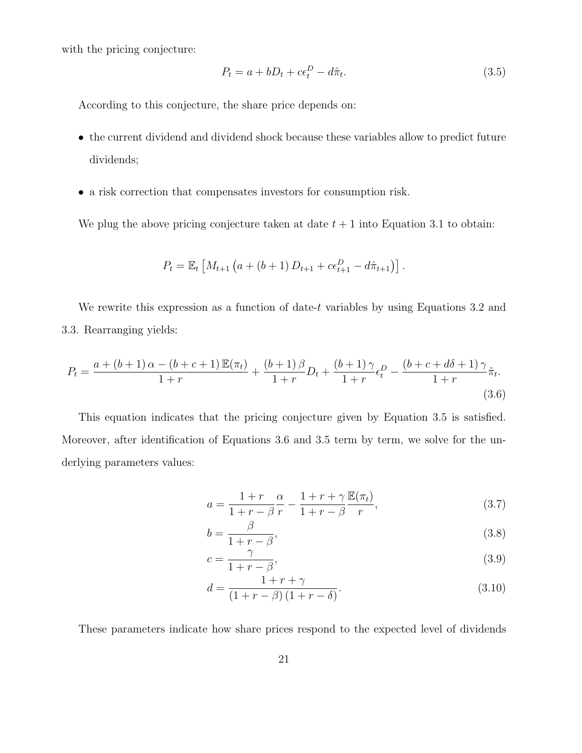with the pricing conjecture:

$$
P_t = a + bD_t + c\epsilon_t^D - d\hat{\pi}_t. \tag{3.5}
$$

According to this conjecture, the share price depends on:

- the current dividend and dividend shock because these variables allow to predict future dividends;
- a risk correction that compensates investors for consumption risk.

We plug the above pricing conjecture taken at date  $t + 1$  into Equation 3.1 to obtain:

$$
P_t = \mathbb{E}_t \left[ M_{t+1} \left( a + (b+1) D_{t+1} + c \epsilon_{t+1}^D - d \hat{\pi}_{t+1} \right) \right].
$$

We rewrite this expression as a function of date-t variables by using Equations 3.2 and 3.3. Rearranging yields:

$$
P_{t} = \frac{a + (b + 1)\alpha - (b + c + 1)\mathbb{E}(\pi_{t})}{1 + r} + \frac{(b + 1)\beta}{1 + r}D_{t} + \frac{(b + 1)\gamma}{1 + r}\epsilon_{t}^{D} - \frac{(b + c + d\delta + 1)\gamma}{1 + r}\hat{\pi}_{t}.
$$
\n(3.6)

This equation indicates that the pricing conjecture given by Equation 3.5 is satisfied. Moreover, after identification of Equations 3.6 and 3.5 term by term, we solve for the underlying parameters values:

$$
a = \frac{1+r}{1+r-\beta} \frac{\alpha}{r} - \frac{1+r+\gamma}{1+r-\beta} \frac{\mathbb{E}(\pi_t)}{r},\tag{3.7}
$$

$$
b = \frac{\beta}{1 + r - \beta},\tag{3.8}
$$

$$
c = \frac{\gamma}{1 + r - \beta},\tag{3.9}
$$

$$
d = \frac{1 + r + \gamma}{(1 + r - \beta)(1 + r - \delta)}.
$$
\n(3.10)

These parameters indicate how share prices respond to the expected level of dividends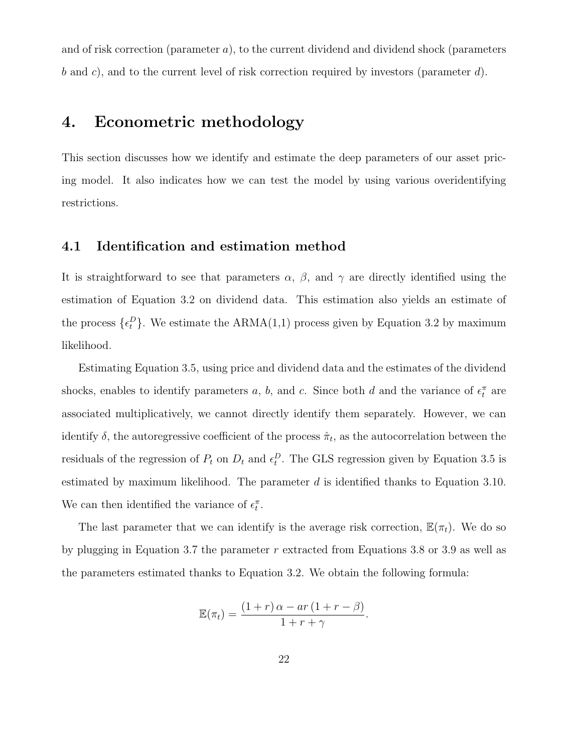and of risk correction (parameter a), to the current dividend and dividend shock (parameters b and c), and to the current level of risk correction required by investors (parameter  $d$ ).

# 4. Econometric methodology

This section discusses how we identify and estimate the deep parameters of our asset pricing model. It also indicates how we can test the model by using various overidentifying restrictions.

### 4.1 Identification and estimation method

It is straightforward to see that parameters  $\alpha$ ,  $\beta$ , and  $\gamma$  are directly identified using the estimation of Equation 3.2 on dividend data. This estimation also yields an estimate of the process  $\{\epsilon_t^D\}$ . We estimate the ARMA(1,1) process given by Equation 3.2 by maximum likelihood.

Estimating Equation 3.5, using price and dividend data and the estimates of the dividend shocks, enables to identify parameters a, b, and c. Since both d and the variance of  $\epsilon_t^{\pi}$  are associated multiplicatively, we cannot directly identify them separately. However, we can identify  $\delta$ , the autoregressive coefficient of the process  $\hat{\pi}_t$ , as the autocorrelation between the residuals of the regression of  $P_t$  on  $D_t$  and  $\epsilon_t^D$ . The GLS regression given by Equation 3.5 is estimated by maximum likelihood. The parameter  $d$  is identified thanks to Equation 3.10. We can then identified the variance of  $\epsilon_t^{\pi}$ .

The last parameter that we can identify is the average risk correction,  $\mathbb{E}(\pi_t)$ . We do so by plugging in Equation 3.7 the parameter r extracted from Equations 3.8 or 3.9 as well as the parameters estimated thanks to Equation 3.2. We obtain the following formula:

$$
\mathbb{E}(\pi_t) = \frac{(1+r)\alpha - ar(1+r-\beta)}{1+r+\gamma}.
$$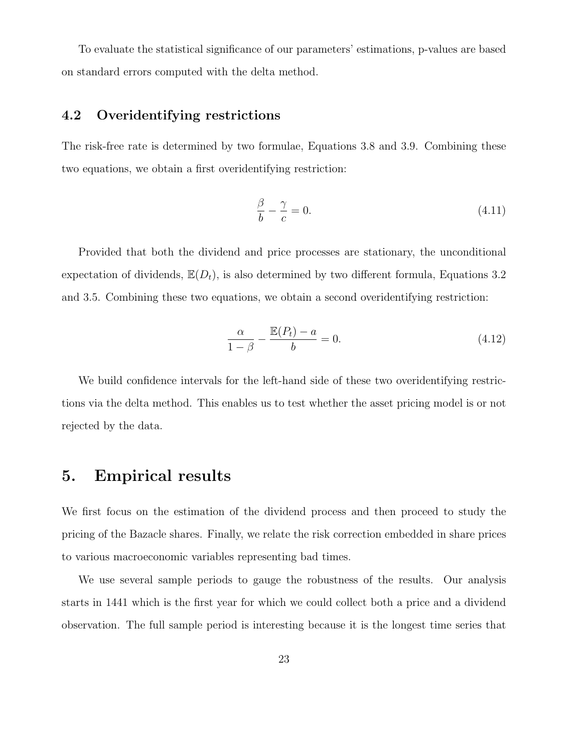To evaluate the statistical significance of our parameters' estimations, p-values are based on standard errors computed with the delta method.

# 4.2 Overidentifying restrictions

The risk-free rate is determined by two formulae, Equations 3.8 and 3.9. Combining these two equations, we obtain a first overidentifying restriction:

$$
\frac{\beta}{b} - \frac{\gamma}{c} = 0. \tag{4.11}
$$

Provided that both the dividend and price processes are stationary, the unconditional expectation of dividends,  $\mathbb{E}(D_t)$ , is also determined by two different formula, Equations 3.2 and 3.5. Combining these two equations, we obtain a second overidentifying restriction:

$$
\frac{\alpha}{1-\beta} - \frac{\mathbb{E}(P_t) - a}{b} = 0.
$$
\n(4.12)

We build confidence intervals for the left-hand side of these two overidentifying restrictions via the delta method. This enables us to test whether the asset pricing model is or not rejected by the data.

# 5. Empirical results

We first focus on the estimation of the dividend process and then proceed to study the pricing of the Bazacle shares. Finally, we relate the risk correction embedded in share prices to various macroeconomic variables representing bad times.

We use several sample periods to gauge the robustness of the results. Our analysis starts in 1441 which is the first year for which we could collect both a price and a dividend observation. The full sample period is interesting because it is the longest time series that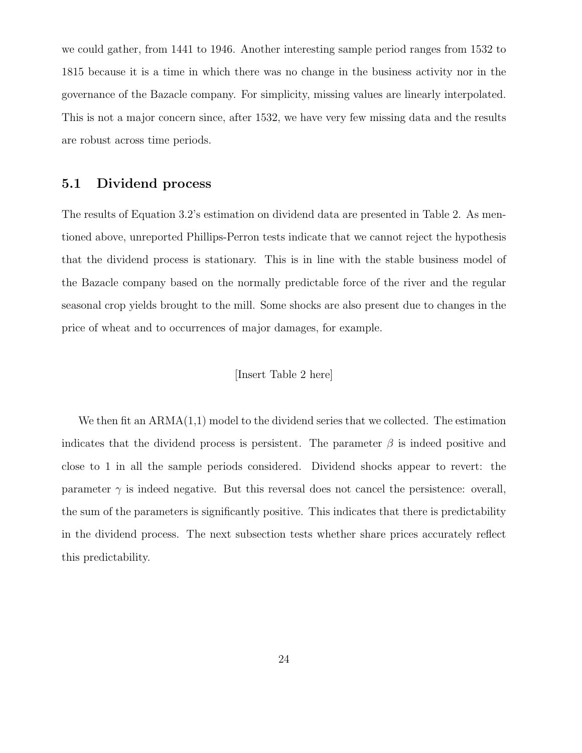we could gather, from 1441 to 1946. Another interesting sample period ranges from 1532 to 1815 because it is a time in which there was no change in the business activity nor in the governance of the Bazacle company. For simplicity, missing values are linearly interpolated. This is not a major concern since, after 1532, we have very few missing data and the results are robust across time periods.

### 5.1 Dividend process

The results of Equation 3.2's estimation on dividend data are presented in Table 2. As mentioned above, unreported Phillips-Perron tests indicate that we cannot reject the hypothesis that the dividend process is stationary. This is in line with the stable business model of the Bazacle company based on the normally predictable force of the river and the regular seasonal crop yields brought to the mill. Some shocks are also present due to changes in the price of wheat and to occurrences of major damages, for example.

### [Insert Table 2 here]

We then fit an  $ARMA(1,1)$  model to the dividend series that we collected. The estimation indicates that the dividend process is persistent. The parameter  $\beta$  is indeed positive and close to 1 in all the sample periods considered. Dividend shocks appear to revert: the parameter  $\gamma$  is indeed negative. But this reversal does not cancel the persistence: overall, the sum of the parameters is significantly positive. This indicates that there is predictability in the dividend process. The next subsection tests whether share prices accurately reflect this predictability.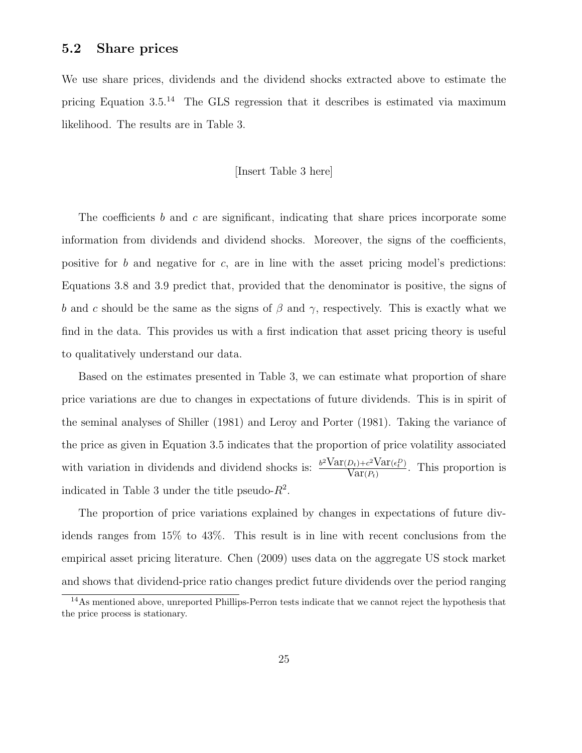### 5.2 Share prices

We use share prices, dividends and the dividend shocks extracted above to estimate the pricing Equation 3.5.<sup>14</sup> The GLS regression that it describes is estimated via maximum likelihood. The results are in Table 3.

### [Insert Table 3 here]

The coefficients b and c are significant, indicating that share prices incorporate some information from dividends and dividend shocks. Moreover, the signs of the coefficients, positive for b and negative for c, are in line with the asset pricing model's predictions: Equations 3.8 and 3.9 predict that, provided that the denominator is positive, the signs of b and c should be the same as the signs of  $\beta$  and  $\gamma$ , respectively. This is exactly what we find in the data. This provides us with a first indication that asset pricing theory is useful to qualitatively understand our data.

Based on the estimates presented in Table 3, we can estimate what proportion of share price variations are due to changes in expectations of future dividends. This is in spirit of the seminal analyses of Shiller (1981) and Leroy and Porter (1981). Taking the variance of the price as given in Equation 3.5 indicates that the proportion of price volatility associated with variation in dividends and dividend shocks is:  $\frac{b^2 \text{Var}(D_t) + c^2 \text{Var}(\epsilon_t^D)}{\text{Var}(D_t)}$  $\frac{D_t + c^2 \operatorname{Var}(\epsilon_t)}{\operatorname{Var}(P_t)}$ . This proportion is indicated in Table 3 under the title pseudo- $R^2$ .

The proportion of price variations explained by changes in expectations of future dividends ranges from 15% to 43%. This result is in line with recent conclusions from the empirical asset pricing literature. Chen (2009) uses data on the aggregate US stock market and shows that dividend-price ratio changes predict future dividends over the period ranging

<sup>&</sup>lt;sup>14</sup>As mentioned above, unreported Phillips-Perron tests indicate that we cannot reject the hypothesis that the price process is stationary.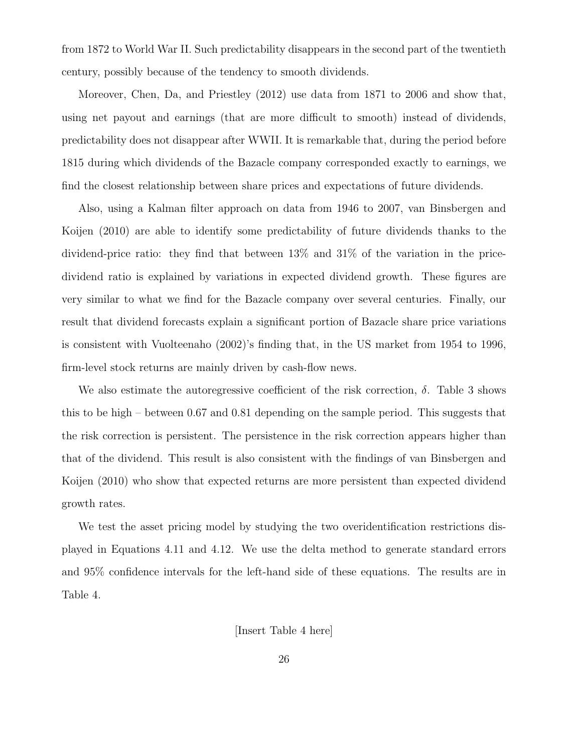from 1872 to World War II. Such predictability disappears in the second part of the twentieth century, possibly because of the tendency to smooth dividends.

Moreover, Chen, Da, and Priestley (2012) use data from 1871 to 2006 and show that, using net payout and earnings (that are more difficult to smooth) instead of dividends, predictability does not disappear after WWII. It is remarkable that, during the period before 1815 during which dividends of the Bazacle company corresponded exactly to earnings, we find the closest relationship between share prices and expectations of future dividends.

Also, using a Kalman filter approach on data from 1946 to 2007, van Binsbergen and Koijen (2010) are able to identify some predictability of future dividends thanks to the dividend-price ratio: they find that between 13% and 31% of the variation in the pricedividend ratio is explained by variations in expected dividend growth. These figures are very similar to what we find for the Bazacle company over several centuries. Finally, our result that dividend forecasts explain a significant portion of Bazacle share price variations is consistent with Vuolteenaho (2002)'s finding that, in the US market from 1954 to 1996, firm-level stock returns are mainly driven by cash-flow news.

We also estimate the autoregressive coefficient of the risk correction,  $\delta$ . Table 3 shows this to be high – between 0.67 and 0.81 depending on the sample period. This suggests that the risk correction is persistent. The persistence in the risk correction appears higher than that of the dividend. This result is also consistent with the findings of van Binsbergen and Koijen (2010) who show that expected returns are more persistent than expected dividend growth rates.

We test the asset pricing model by studying the two overidentification restrictions displayed in Equations 4.11 and 4.12. We use the delta method to generate standard errors and 95% confidence intervals for the left-hand side of these equations. The results are in Table 4.

[Insert Table 4 here]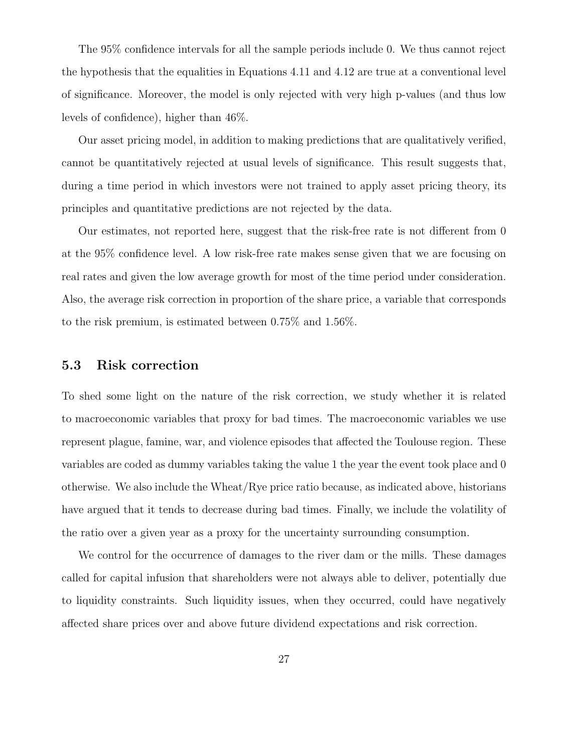The 95% confidence intervals for all the sample periods include 0. We thus cannot reject the hypothesis that the equalities in Equations 4.11 and 4.12 are true at a conventional level of significance. Moreover, the model is only rejected with very high p-values (and thus low levels of confidence), higher than 46%.

Our asset pricing model, in addition to making predictions that are qualitatively verified, cannot be quantitatively rejected at usual levels of significance. This result suggests that, during a time period in which investors were not trained to apply asset pricing theory, its principles and quantitative predictions are not rejected by the data.

Our estimates, not reported here, suggest that the risk-free rate is not different from 0 at the 95% confidence level. A low risk-free rate makes sense given that we are focusing on real rates and given the low average growth for most of the time period under consideration. Also, the average risk correction in proportion of the share price, a variable that corresponds to the risk premium, is estimated between 0.75% and 1.56%.

### 5.3 Risk correction

To shed some light on the nature of the risk correction, we study whether it is related to macroeconomic variables that proxy for bad times. The macroeconomic variables we use represent plague, famine, war, and violence episodes that affected the Toulouse region. These variables are coded as dummy variables taking the value 1 the year the event took place and 0 otherwise. We also include the Wheat/Rye price ratio because, as indicated above, historians have argued that it tends to decrease during bad times. Finally, we include the volatility of the ratio over a given year as a proxy for the uncertainty surrounding consumption.

We control for the occurrence of damages to the river dam or the mills. These damages called for capital infusion that shareholders were not always able to deliver, potentially due to liquidity constraints. Such liquidity issues, when they occurred, could have negatively affected share prices over and above future dividend expectations and risk correction.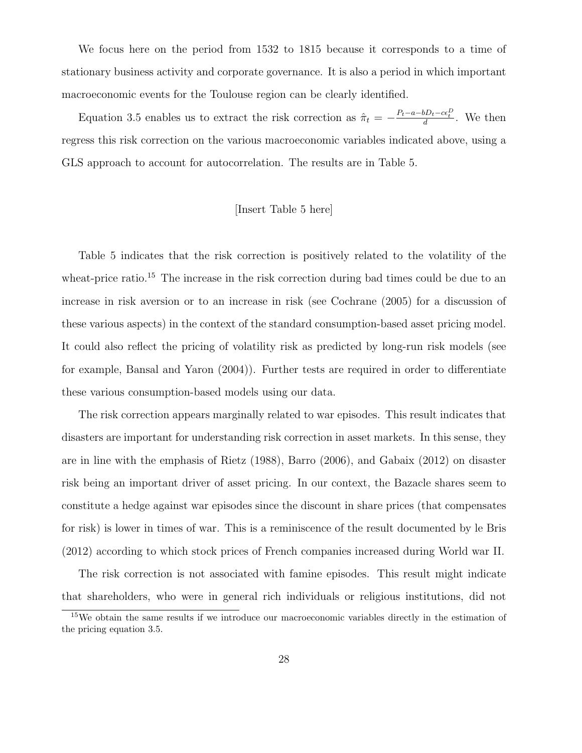We focus here on the period from 1532 to 1815 because it corresponds to a time of stationary business activity and corporate governance. It is also a period in which important macroeconomic events for the Toulouse region can be clearly identified.

Equation 3.5 enables us to extract the risk correction as  $\hat{\pi}_t = -\frac{P_t - a - bD_t - c\epsilon_t^D}{d}$ . We then regress this risk correction on the various macroeconomic variables indicated above, using a GLS approach to account for autocorrelation. The results are in Table 5.

### [Insert Table 5 here]

Table 5 indicates that the risk correction is positively related to the volatility of the wheat-price ratio.<sup>15</sup> The increase in the risk correction during bad times could be due to an increase in risk aversion or to an increase in risk (see Cochrane (2005) for a discussion of these various aspects) in the context of the standard consumption-based asset pricing model. It could also reflect the pricing of volatility risk as predicted by long-run risk models (see for example, Bansal and Yaron (2004)). Further tests are required in order to differentiate these various consumption-based models using our data.

The risk correction appears marginally related to war episodes. This result indicates that disasters are important for understanding risk correction in asset markets. In this sense, they are in line with the emphasis of Rietz (1988), Barro (2006), and Gabaix (2012) on disaster risk being an important driver of asset pricing. In our context, the Bazacle shares seem to constitute a hedge against war episodes since the discount in share prices (that compensates for risk) is lower in times of war. This is a reminiscence of the result documented by le Bris (2012) according to which stock prices of French companies increased during World war II.

The risk correction is not associated with famine episodes. This result might indicate that shareholders, who were in general rich individuals or religious institutions, did not

<sup>&</sup>lt;sup>15</sup>We obtain the same results if we introduce our macroeconomic variables directly in the estimation of the pricing equation 3.5.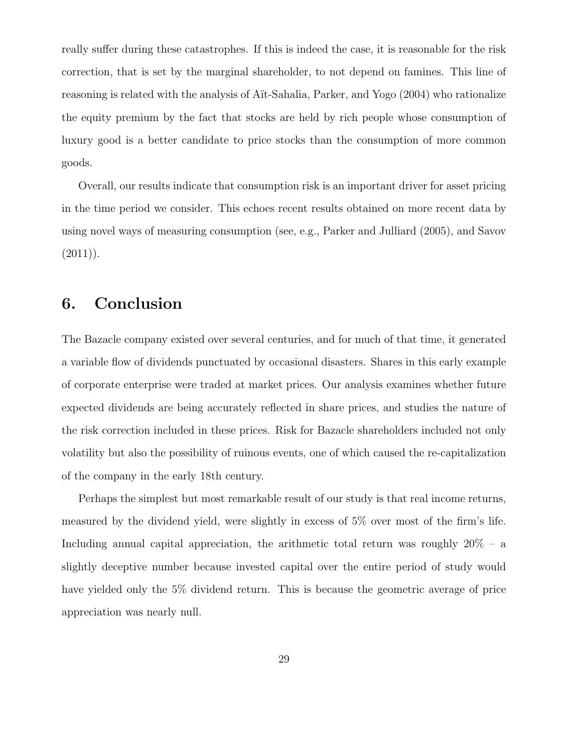really suffer during these catastrophes. If this is indeed the case, it is reasonable for the risk correction, that is set by the marginal shareholder, to not depend on famines. This line of reasoning is related with the analysis of Aït-Sahalia, Parker, and Yogo (2004) who rationalize the equity premium by the fact that stocks are held by rich people whose consumption of luxury good is a better candidate to price stocks than the consumption of more common goods.

Overall, our results indicate that consumption risk is an important driver for asset pricing in the time period we consider. This echoes recent results obtained on more recent data by using novel ways of measuring consumption (see, e.g., Parker and Julliard (2005), and Savov  $(2011)$ .

# 6. Conclusion

The Bazacle company existed over several centuries, and for much of that time, it generated a variable flow of dividends punctuated by occasional disasters. Shares in this early example of corporate enterprise were traded at market prices. Our analysis examines whether future expected dividends are being accurately reflected in share prices, and studies the nature of the risk correction included in these prices. Risk for Bazacle shareholders included not only volatility but also the possibility of ruinous events, one of which caused the re-capitalization of the company in the early 18th century.

Perhaps the simplest but most remarkable result of our study is that real income returns, measured by the dividend yield, were slightly in excess of 5% over most of the firm's life. Including annual capital appreciation, the arithmetic total return was roughly  $20\%$  – a slightly deceptive number because invested capital over the entire period of study would have yielded only the 5% dividend return. This is because the geometric average of price appreciation was nearly null.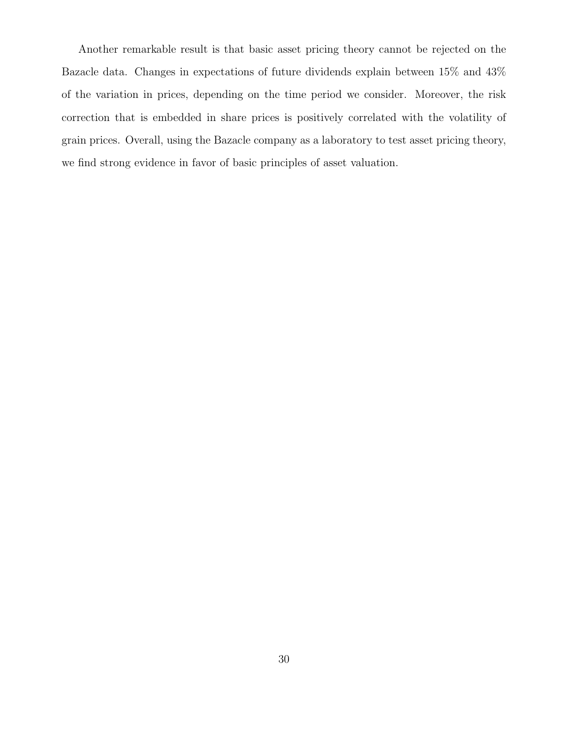Another remarkable result is that basic asset pricing theory cannot be rejected on the Bazacle data. Changes in expectations of future dividends explain between 15% and 43% of the variation in prices, depending on the time period we consider. Moreover, the risk correction that is embedded in share prices is positively correlated with the volatility of grain prices. Overall, using the Bazacle company as a laboratory to test asset pricing theory, we find strong evidence in favor of basic principles of asset valuation.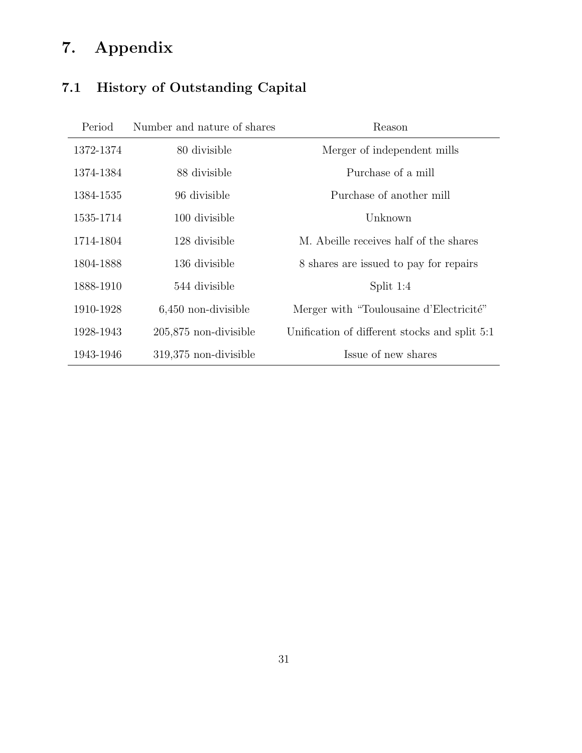# 7. Appendix

# 7.1 History of Outstanding Capital

| Period    | Number and nature of shares | Reason                                        |
|-----------|-----------------------------|-----------------------------------------------|
| 1372-1374 | 80 divisible                | Merger of independent mills                   |
| 1374-1384 | 88 divisible                | Purchase of a mill                            |
| 1384-1535 | 96 divisible                | Purchase of another mill                      |
| 1535-1714 | 100 divisible               | Unknown                                       |
| 1714-1804 | 128 divisible               | M. Abeille receives half of the shares        |
| 1804-1888 | 136 divisible               | 8 shares are issued to pay for repairs        |
| 1888-1910 | 544 divisible               | Split $1:4$                                   |
| 1910-1928 | $6,450$ non-divisible       | Merger with "Toulousaine d'Electricité"       |
| 1928-1943 | 205,875 non-divisible       | Unification of different stocks and split 5:1 |
| 1943-1946 | 319,375 non-divisible       | Issue of new shares                           |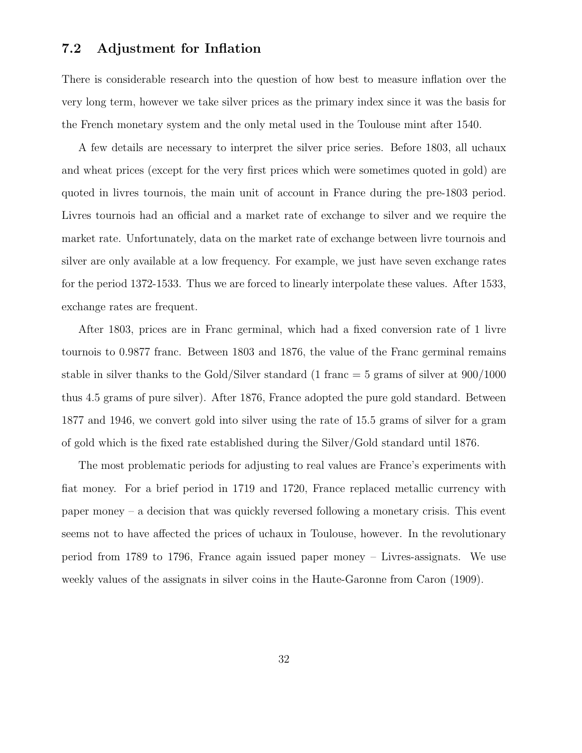# 7.2 Adjustment for Inflation

There is considerable research into the question of how best to measure inflation over the very long term, however we take silver prices as the primary index since it was the basis for the French monetary system and the only metal used in the Toulouse mint after 1540.

A few details are necessary to interpret the silver price series. Before 1803, all uchaux and wheat prices (except for the very first prices which were sometimes quoted in gold) are quoted in livres tournois, the main unit of account in France during the pre-1803 period. Livres tournois had an official and a market rate of exchange to silver and we require the market rate. Unfortunately, data on the market rate of exchange between livre tournois and silver are only available at a low frequency. For example, we just have seven exchange rates for the period 1372-1533. Thus we are forced to linearly interpolate these values. After 1533, exchange rates are frequent.

After 1803, prices are in Franc germinal, which had a fixed conversion rate of 1 livre tournois to 0.9877 franc. Between 1803 and 1876, the value of the Franc germinal remains stable in silver thanks to the Gold/Silver standard (1 franc  $=$  5 grams of silver at  $900/1000$ thus 4.5 grams of pure silver). After 1876, France adopted the pure gold standard. Between 1877 and 1946, we convert gold into silver using the rate of 15.5 grams of silver for a gram of gold which is the fixed rate established during the Silver/Gold standard until 1876.

The most problematic periods for adjusting to real values are France's experiments with fiat money. For a brief period in 1719 and 1720, France replaced metallic currency with paper money – a decision that was quickly reversed following a monetary crisis. This event seems not to have affected the prices of uchaux in Toulouse, however. In the revolutionary period from 1789 to 1796, France again issued paper money – Livres-assignats. We use weekly values of the assignats in silver coins in the Haute-Garonne from Caron (1909).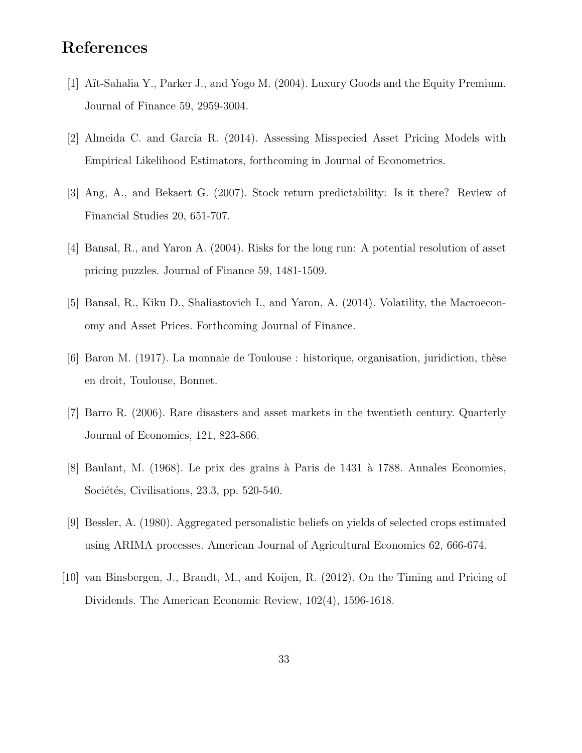# References

- [1] Aït-Sahalia Y., Parker J., and Yogo M. (2004). Luxury Goods and the Equity Premium. Journal of Finance 59, 2959-3004.
- [2] Almeida C. and Garcia R. (2014). Assessing Misspecied Asset Pricing Models with Empirical Likelihood Estimators, forthcoming in Journal of Econometrics.
- [3] Ang, A., and Bekaert G. (2007). Stock return predictability: Is it there? Review of Financial Studies 20, 651-707.
- [4] Bansal, R., and Yaron A. (2004). Risks for the long run: A potential resolution of asset pricing puzzles. Journal of Finance 59, 1481-1509.
- [5] Bansal, R., Kiku D., Shaliastovich I., and Yaron, A. (2014). Volatility, the Macroeconomy and Asset Prices. Forthcoming Journal of Finance.
- $[6]$  Baron M. (1917). La monnaie de Toulouse : historique, organisation, juridiction, thèse en droit, Toulouse, Bonnet.
- [7] Barro R. (2006). Rare disasters and asset markets in the twentieth century. Quarterly Journal of Economics, 121, 823-866.
- [8] Baulant, M. (1968). Le prix des grains à Paris de 1431 à 1788. Annales Economies, Sociétés, Civilisations, 23.3, pp. 520-540.
- [9] Bessler, A. (1980). Aggregated personalistic beliefs on yields of selected crops estimated using ARIMA processes. American Journal of Agricultural Economics 62, 666-674.
- [10] van Binsbergen, J., Brandt, M., and Koijen, R. (2012). On the Timing and Pricing of Dividends. The American Economic Review, 102(4), 1596-1618.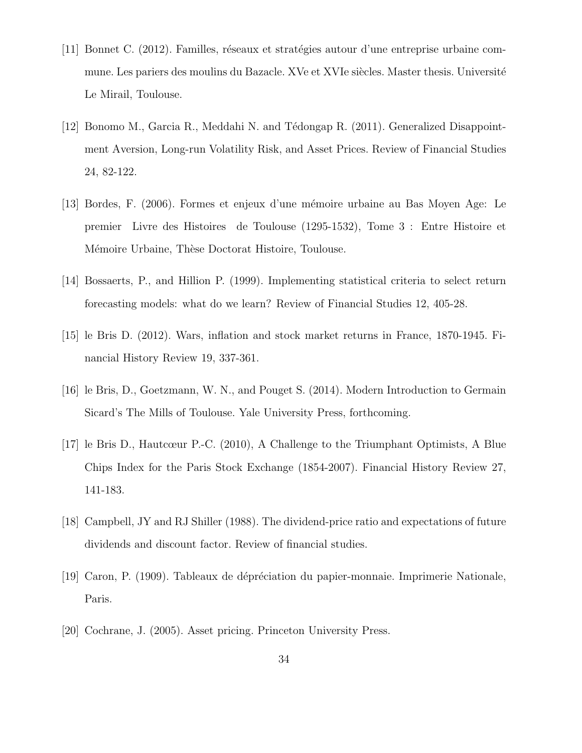- [11] Bonnet C. (2012). Familles, réseaux et stratégies autour d'une entreprise urbaine commune. Les pariers des moulins du Bazacle. XVe et XVIe siècles. Master thesis. Université Le Mirail, Toulouse.
- [12] Bonomo M., Garcia R., Meddahi N. and Tédongap R. (2011). Generalized Disappointment Aversion, Long-run Volatility Risk, and Asset Prices. Review of Financial Studies 24, 82-122.
- [13] Bordes, F. (2006). Formes et enjeux d'une mémoire urbaine au Bas Moyen Age: Le premier Livre des Histoires de Toulouse (1295-1532), Tome 3 : Entre Histoire et Mémoire Urbaine, Thèse Doctorat Histoire, Toulouse.
- [14] Bossaerts, P., and Hillion P. (1999). Implementing statistical criteria to select return forecasting models: what do we learn? Review of Financial Studies 12, 405-28.
- [15] le Bris D. (2012). Wars, inflation and stock market returns in France, 1870-1945. Financial History Review 19, 337-361.
- [16] le Bris, D., Goetzmann, W. N., and Pouget S. (2014). Modern Introduction to Germain Sicard's The Mills of Toulouse. Yale University Press, forthcoming.
- [17] le Bris D., Hautcœur P.-C. (2010), A Challenge to the Triumphant Optimists, A Blue Chips Index for the Paris Stock Exchange (1854-2007). Financial History Review 27, 141-183.
- [18] Campbell, JY and RJ Shiller (1988). The dividend-price ratio and expectations of future dividends and discount factor. Review of financial studies.
- [19] Caron, P. (1909). Tableaux de d´epr´eciation du papier-monnaie. Imprimerie Nationale, Paris.
- [20] Cochrane, J. (2005). Asset pricing. Princeton University Press.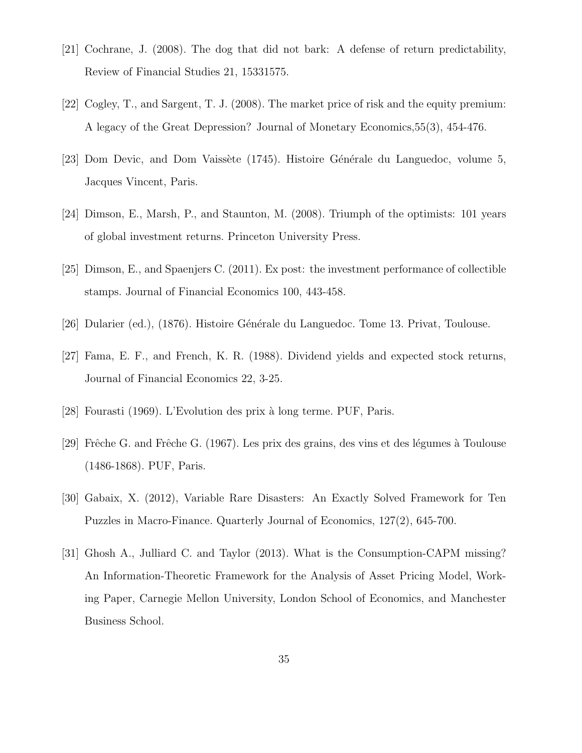- [21] Cochrane, J. (2008). The dog that did not bark: A defense of return predictability, Review of Financial Studies 21, 15331575.
- [22] Cogley, T., and Sargent, T. J. (2008). The market price of risk and the equity premium: A legacy of the Great Depression? Journal of Monetary Economics,55(3), 454-476.
- [23] Dom Devic, and Dom Vaissète (1745). Histoire Générale du Languedoc, volume 5, Jacques Vincent, Paris.
- [24] Dimson, E., Marsh, P., and Staunton, M. (2008). Triumph of the optimists: 101 years of global investment returns. Princeton University Press.
- [25] Dimson, E., and Spaenjers C. (2011). Ex post: the investment performance of collectible stamps. Journal of Financial Economics 100, 443-458.
- [26] Dularier (ed.), (1876). Histoire Générale du Languedoc. Tome 13. Privat, Toulouse.
- [27] Fama, E. F., and French, K. R. (1988). Dividend yields and expected stock returns, Journal of Financial Economics 22, 3-25.
- [28] Fourasti (1969). L'Evolution des prix `a long terme. PUF, Paris.
- [29] Frêche G. and Frêche G. (1967). Les prix des grains, des vins et des légumes à Toulouse (1486-1868). PUF, Paris.
- [30] Gabaix, X. (2012), Variable Rare Disasters: An Exactly Solved Framework for Ten Puzzles in Macro-Finance. Quarterly Journal of Economics, 127(2), 645-700.
- [31] Ghosh A., Julliard C. and Taylor (2013). What is the Consumption-CAPM missing? An Information-Theoretic Framework for the Analysis of Asset Pricing Model, Working Paper, Carnegie Mellon University, London School of Economics, and Manchester Business School.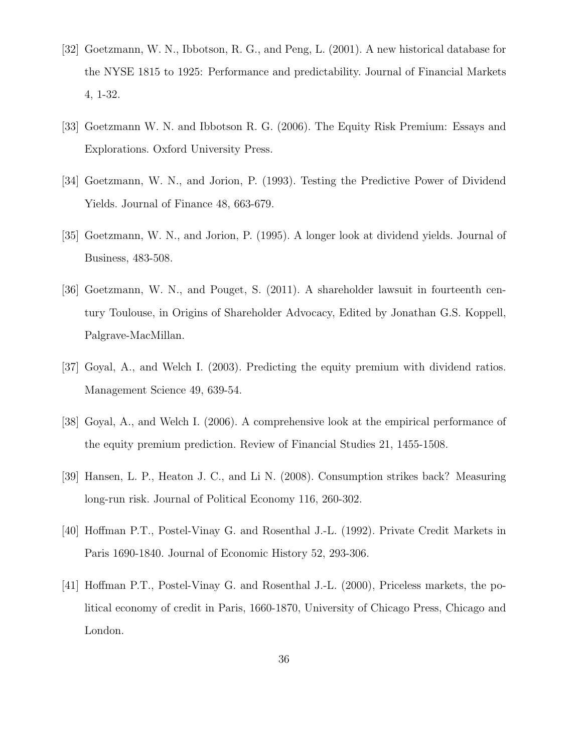- [32] Goetzmann, W. N., Ibbotson, R. G., and Peng, L. (2001). A new historical database for the NYSE 1815 to 1925: Performance and predictability. Journal of Financial Markets 4, 1-32.
- [33] Goetzmann W. N. and Ibbotson R. G. (2006). The Equity Risk Premium: Essays and Explorations. Oxford University Press.
- [34] Goetzmann, W. N., and Jorion, P. (1993). Testing the Predictive Power of Dividend Yields. Journal of Finance 48, 663-679.
- [35] Goetzmann, W. N., and Jorion, P. (1995). A longer look at dividend yields. Journal of Business, 483-508.
- [36] Goetzmann, W. N., and Pouget, S. (2011). A shareholder lawsuit in fourteenth century Toulouse, in Origins of Shareholder Advocacy, Edited by Jonathan G.S. Koppell, Palgrave-MacMillan.
- [37] Goyal, A., and Welch I. (2003). Predicting the equity premium with dividend ratios. Management Science 49, 639-54.
- [38] Goyal, A., and Welch I. (2006). A comprehensive look at the empirical performance of the equity premium prediction. Review of Financial Studies 21, 1455-1508.
- [39] Hansen, L. P., Heaton J. C., and Li N. (2008). Consumption strikes back? Measuring long-run risk. Journal of Political Economy 116, 260-302.
- [40] Hoffman P.T., Postel-Vinay G. and Rosenthal J.-L. (1992). Private Credit Markets in Paris 1690-1840. Journal of Economic History 52, 293-306.
- [41] Hoffman P.T., Postel-Vinay G. and Rosenthal J.-L. (2000), Priceless markets, the political economy of credit in Paris, 1660-1870, University of Chicago Press, Chicago and London.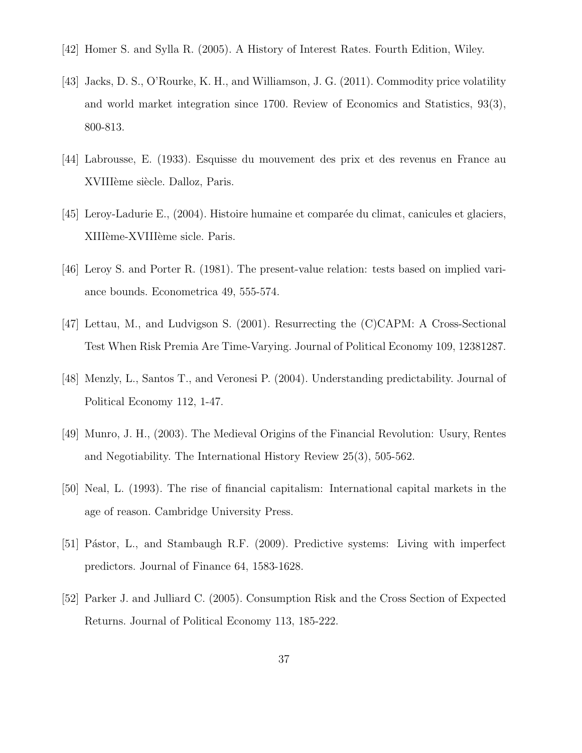- [42] Homer S. and Sylla R. (2005). A History of Interest Rates. Fourth Edition, Wiley.
- [43] Jacks, D. S., O'Rourke, K. H., and Williamson, J. G. (2011). Commodity price volatility and world market integration since 1700. Review of Economics and Statistics, 93(3), 800-813.
- [44] Labrousse, E. (1933). Esquisse du mouvement des prix et des revenus en France au XVIIIème siècle. Dalloz, Paris.
- [45] Leroy-Ladurie E., (2004). Histoire humaine et comparée du climat, canicules et glaciers, XIIIème-XVIIIème sicle. Paris.
- [46] Leroy S. and Porter R. (1981). The present-value relation: tests based on implied variance bounds. Econometrica 49, 555-574.
- [47] Lettau, M., and Ludvigson S. (2001). Resurrecting the (C)CAPM: A Cross-Sectional Test When Risk Premia Are Time-Varying. Journal of Political Economy 109, 12381287.
- [48] Menzly, L., Santos T., and Veronesi P. (2004). Understanding predictability. Journal of Political Economy 112, 1-47.
- [49] Munro, J. H., (2003). The Medieval Origins of the Financial Revolution: Usury, Rentes and Negotiability. The International History Review 25(3), 505-562.
- [50] Neal, L. (1993). The rise of financial capitalism: International capital markets in the age of reason. Cambridge University Press.
- [51] Pástor, L., and Stambaugh R.F. (2009). Predictive systems: Living with imperfect predictors. Journal of Finance 64, 1583-1628.
- [52] Parker J. and Julliard C. (2005). Consumption Risk and the Cross Section of Expected Returns. Journal of Political Economy 113, 185-222.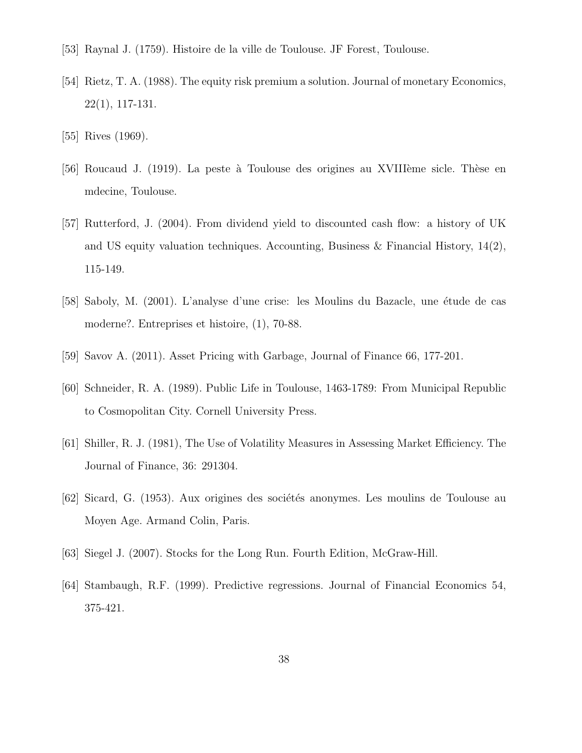- [53] Raynal J. (1759). Histoire de la ville de Toulouse. JF Forest, Toulouse.
- [54] Rietz, T. A. (1988). The equity risk premium a solution. Journal of monetary Economics, 22(1), 117-131.
- [55] Rives (1969).
- [56] Roucaud J. (1919). La peste à Toulouse des origines au XVIIIème sicle. Thèse en mdecine, Toulouse.
- [57] Rutterford, J. (2004). From dividend yield to discounted cash flow: a history of UK and US equity valuation techniques. Accounting, Business & Financial History,  $14(2)$ , 115-149.
- [58] Saboly, M. (2001). L'analyse d'une crise: les Moulins du Bazacle, une étude de cas moderne?. Entreprises et histoire, (1), 70-88.
- [59] Savov A. (2011). Asset Pricing with Garbage, Journal of Finance 66, 177-201.
- [60] Schneider, R. A. (1989). Public Life in Toulouse, 1463-1789: From Municipal Republic to Cosmopolitan City. Cornell University Press.
- [61] Shiller, R. J. (1981), The Use of Volatility Measures in Assessing Market Efficiency. The Journal of Finance, 36: 291304.
- [62] Sicard, G. (1953). Aux origines des sociétés anonymes. Les moulins de Toulouse au Moyen Age. Armand Colin, Paris.
- [63] Siegel J. (2007). Stocks for the Long Run. Fourth Edition, McGraw-Hill.
- [64] Stambaugh, R.F. (1999). Predictive regressions. Journal of Financial Economics 54, 375-421.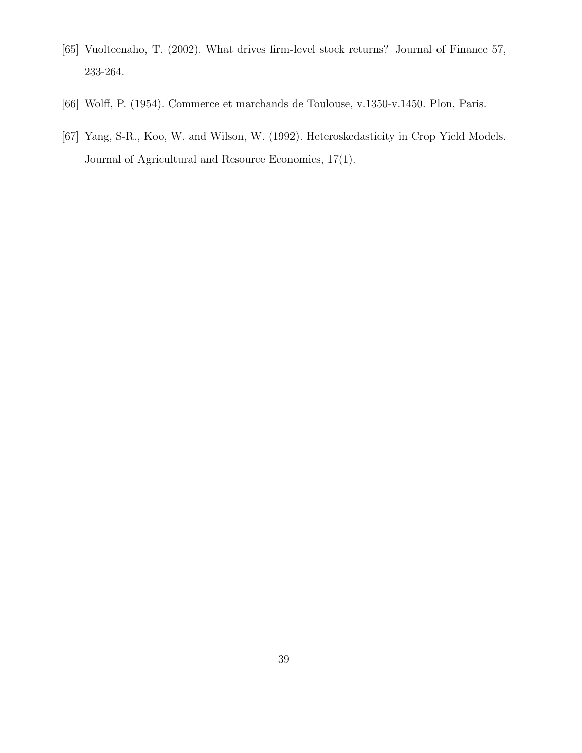- [65] Vuolteenaho, T. (2002). What drives firm-level stock returns? Journal of Finance 57, 233-264.
- [66] Wolff, P. (1954). Commerce et marchands de Toulouse, v.1350-v.1450. Plon, Paris.
- [67] Yang, S-R., Koo, W. and Wilson, W. (1992). Heteroskedasticity in Crop Yield Models. Journal of Agricultural and Resource Economics, 17(1).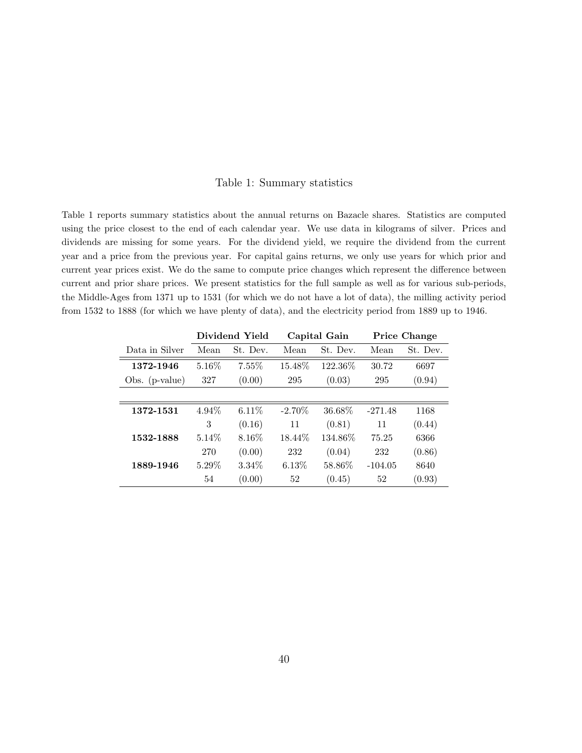### Table 1: Summary statistics

Table 1 reports summary statistics about the annual returns on Bazacle shares. Statistics are computed using the price closest to the end of each calendar year. We use data in kilograms of silver. Prices and dividends are missing for some years. For the dividend yield, we require the dividend from the current year and a price from the previous year. For capital gains returns, we only use years for which prior and current year prices exist. We do the same to compute price changes which represent the difference between current and prior share prices. We present statistics for the full sample as well as for various sub-periods, the Middle-Ages from 1371 up to 1531 (for which we do not have a lot of data), the milling activity period from 1532 to 1888 (for which we have plenty of data), and the electricity period from 1889 up to 1946.

|                  |                  | Dividend Yield | Capital Gain |          | <b>Price Change</b> |          |
|------------------|------------------|----------------|--------------|----------|---------------------|----------|
| Data in Silver   | St. Dev.<br>Mean |                | Mean         | St. Dev. | Mean                | St. Dev. |
| 1372-1946        | 5.16\%           | $7.55\%$       | 15.48\%      | 122.36\% | 30.72               | 6697     |
| Obs. $(p-value)$ | 327              | (0.00)         | 295          | (0.03)   | 295                 | (0.94)   |
|                  |                  |                |              |          |                     |          |
| 1372-1531        | 4.94%            | $6.11\%$       | $-2.70\%$    | 36.68%   | $-271.48$           | 1168     |
|                  | 3                | (0.16)         | 11           | (0.81)   | 11                  | (0.44)   |
| 1532-1888        | $5.14\%$         | 8.16\%         | 18.44\%      | 134.86%  | 75.25               | 6366     |
|                  | 270              | (0.00)         | 232          | (0.04)   | 232                 | (0.86)   |
| 1889-1946        | $5.29\%$         | 3.34\%         | $6.13\%$     | 58.86\%  | $-104.05$           | 8640     |
|                  | 54               | (0.00)         | 52           | (0.45)   | 52                  | (0.93)   |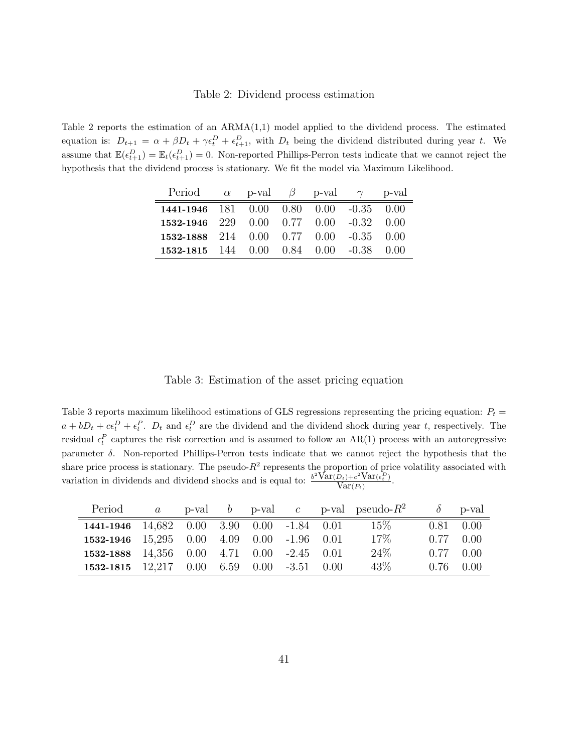#### Table 2: Dividend process estimation

Table 2 reports the estimation of an  $ARMA(1,1)$  model applied to the dividend process. The estimated equation is:  $D_{t+1} = \alpha + \beta D_t + \gamma \epsilon_t^D + \epsilon_{t+1}^D$ , with  $D_t$  being the dividend distributed during year t. We assume that  $\mathbb{E}(\epsilon_{t+1}^D) = \mathbb{E}_t(\epsilon_{t+1}^D) = 0$ . Non-reported Phillips-Perron tests indicate that we cannot reject the hypothesis that the dividend process is stationary. We fit the model via Maximum Likelihood.

| Period $\alpha$ p-val $\beta$ p-val $\gamma$ |  |  | p-val |
|----------------------------------------------|--|--|-------|
| 1441-1946 181 0.00 0.80 0.00 -0.35 0.00      |  |  |       |
| 1532-1946 229 0.00 0.77 0.00 -0.32 0.00      |  |  |       |
| 1532-1888 214 0.00 0.77 0.00 -0.35 0.00      |  |  |       |
| 1532-1815 144 0.00 0.84 0.00 -0.38 0.00      |  |  |       |

Table 3: Estimation of the asset pricing equation

Table 3 reports maximum likelihood estimations of GLS regressions representing the pricing equation:  $P_t$  =  $a + bD_t + c\epsilon_t^D + \epsilon_t^P$ .  $D_t$  and  $\epsilon_t^D$  are the dividend and the dividend shock during year t, respectively. The residual  $\epsilon_t^P$  captures the risk correction and is assumed to follow an AR(1) process with an autoregressive parameter δ. Non-reported Phillips-Perron tests indicate that we cannot reject the hypothesis that the share price process is stationary. The pseudo- $R^2$  represents the proportion of price volatility associated with variation in dividends and dividend shocks and is equal to:  $\frac{b^2 \text{Var}(D_t) + c^2 \text{Var}(\epsilon_t^D)}{\text{Var}(P_t)}$ .

| Period                                       |  |  |  | a p-val b p-val c p-val pseudo- $R^2$ |                   | $\delta$ p-val    |
|----------------------------------------------|--|--|--|---------------------------------------|-------------------|-------------------|
| 1441-1946 14,682 0.00 3.90 0.00 -1.84 0.01   |  |  |  | $15\%$                                | $0.81 \quad 0.00$ |                   |
| 1532-1946 15,295 0.00 4.09 0.00 -1.96 0.01   |  |  |  | $17\%$                                | $0.77 \quad 0.00$ |                   |
| 1532-1888 14,356 0.00 4.71 0.00 -2.45 0.01   |  |  |  | $24\%$                                | $0.77 \quad 0.00$ |                   |
| 1532-1815 $12.217$ 0.00 6.59 0.00 -3.51 0.00 |  |  |  | 43\%                                  |                   | $0.76 \quad 0.00$ |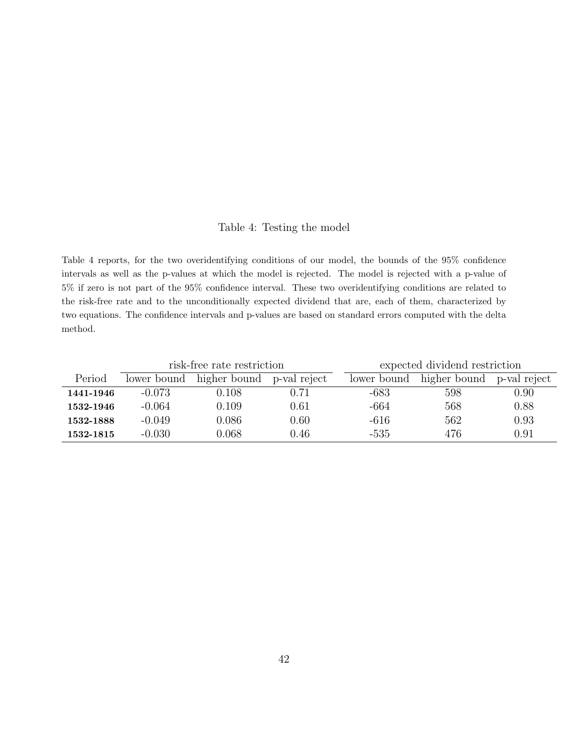### Table 4: Testing the model

Table 4 reports, for the two overidentifying conditions of our model, the bounds of the 95% confidence intervals as well as the p-values at which the model is rejected. The model is rejected with a p-value of 5% if zero is not part of the 95% confidence interval. These two overidentifying conditions are related to the risk-free rate and to the unconditionally expected dividend that are, each of them, characterized by two equations. The confidence intervals and p-values are based on standard errors computed with the delta method.

|           |             | risk-free rate restriction |              | expected dividend restriction |              |              |  |
|-----------|-------------|----------------------------|--------------|-------------------------------|--------------|--------------|--|
| Period    | lower bound | higher bound               | p-val reject | lower bound                   | higher bound | p-val reject |  |
| 1441-1946 | $-0.073$    | 0.108                      | 0.71         | -683                          | 598          | 0.90         |  |
| 1532-1946 | $-0.064$    | 0.109                      | $0.61\,$     | -664                          | 568          | 0.88         |  |
| 1532-1888 | $-0.049$    | 0.086                      | $0.60\,$     | -616                          | 562          | 0.93         |  |
| 1532-1815 | $-0.030$    | 0.068                      | 0.46         | $-535$                        | 476          | 0.91         |  |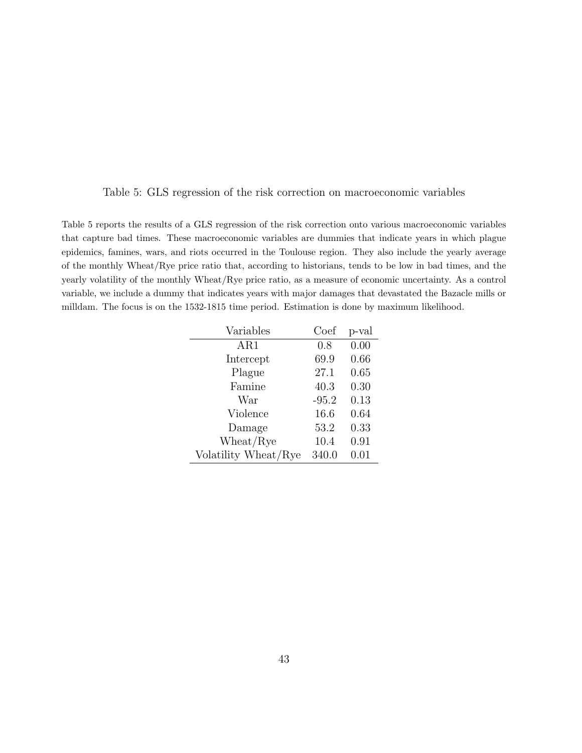Table 5: GLS regression of the risk correction on macroeconomic variables

Table 5 reports the results of a GLS regression of the risk correction onto various macroeconomic variables that capture bad times. These macroeconomic variables are dummies that indicate years in which plague epidemics, famines, wars, and riots occurred in the Toulouse region. They also include the yearly average of the monthly Wheat/Rye price ratio that, according to historians, tends to be low in bad times, and the yearly volatility of the monthly Wheat/Rye price ratio, as a measure of economic uncertainty. As a control variable, we include a dummy that indicates years with major damages that devastated the Bazacle mills or milldam. The focus is on the 1532-1815 time period. Estimation is done by maximum likelihood.

| Variables            | Coef    | p-val |
|----------------------|---------|-------|
| AR1                  | 0.8     | 0.00  |
| Intercept            | 69.9    | 0.66  |
| Plague               | 27.1    | 0.65  |
| Famine               | 40.3    | 0.30  |
| War                  | $-95.2$ | 0.13  |
| Violence             | 16.6    | 0.64  |
| Damage               | 53.2    | 0.33  |
| Wheat/Rye            | 10.4    | 0.91  |
| Volatility Wheat/Rye | 340.0   | 0.01  |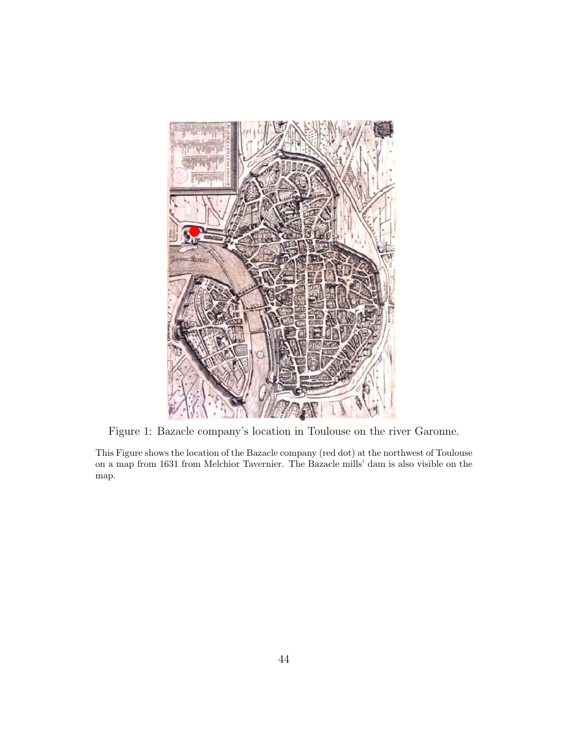

Figure 1: Bazacle company's location in Toulouse on the river Garonne.

This Figure shows the location of the Bazacle company (red dot) at the northwest of Toulouse on a map from 1631 from Melchior Tavernier. The Bazacle mills' dam is also visible on the map.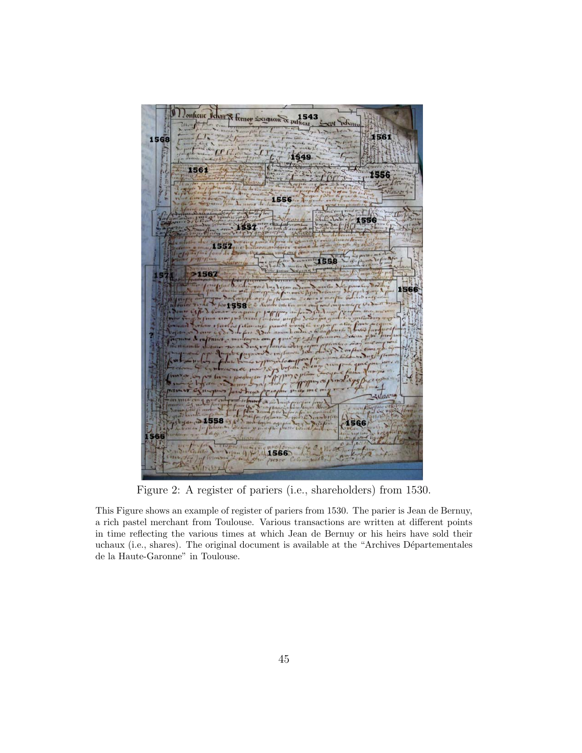

Figure 2: A register of pariers (i.e., shareholders) from 1530.

This Figure shows an example of register of pariers from 1530. The parier is Jean de Bernuy, a rich pastel merchant from Toulouse. Various transactions are written at different points in time reflecting the various times at which Jean de Bernuy or his heirs have sold their uchaux (i.e., shares). The original document is available at the "Archives Départementales de la Haute-Garonne" in Toulouse.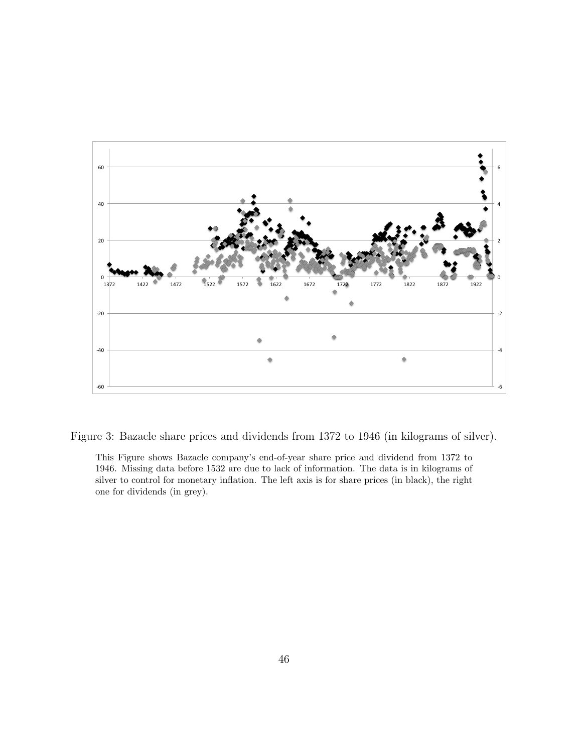

Figure 3: Bazacle share prices and dividends from 1372 to 1946 (in kilograms of silver).

This Figure shows Bazacle company's end-of-year share price and dividend from 1372 to 1946. Missing data before 1532 are due to lack of information. The data is in kilograms of silver to control for monetary inflation. The left axis is for share prices (in black), the right one for dividends (in grey).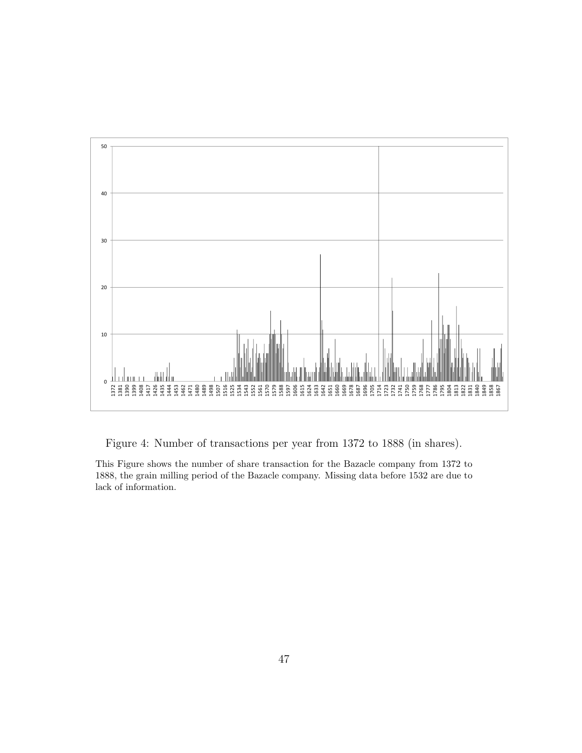

Figure 4: Number of transactions per year from 1372 to 1888 (in shares).

This Figure shows the number of share transaction for the Bazacle company from 1372 to 1888, the grain milling period of the Bazacle company. Missing data before 1532 are due to lack of information.